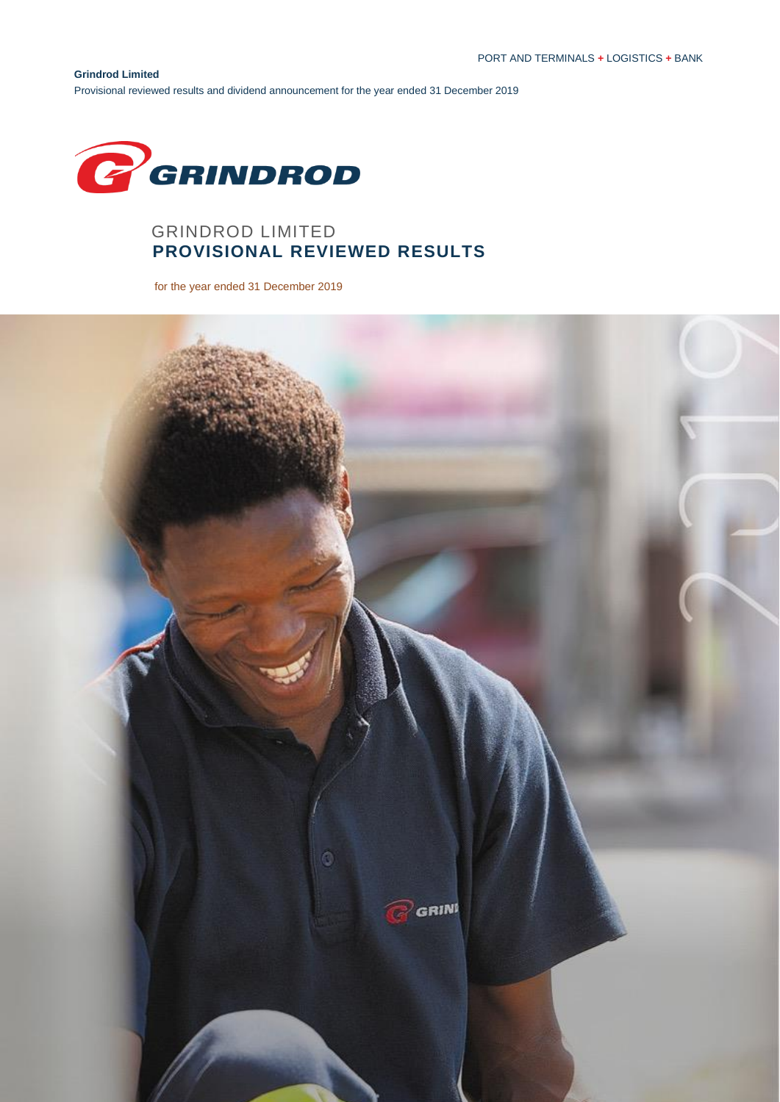**Grindrod Limited** Provisional reviewed results and dividend announcement for the year ended 31 December 2019



# GRINDROD LIMITED  **PROVISIONAL REVIEWED RESULTS**

for the year ended 31 December 2019

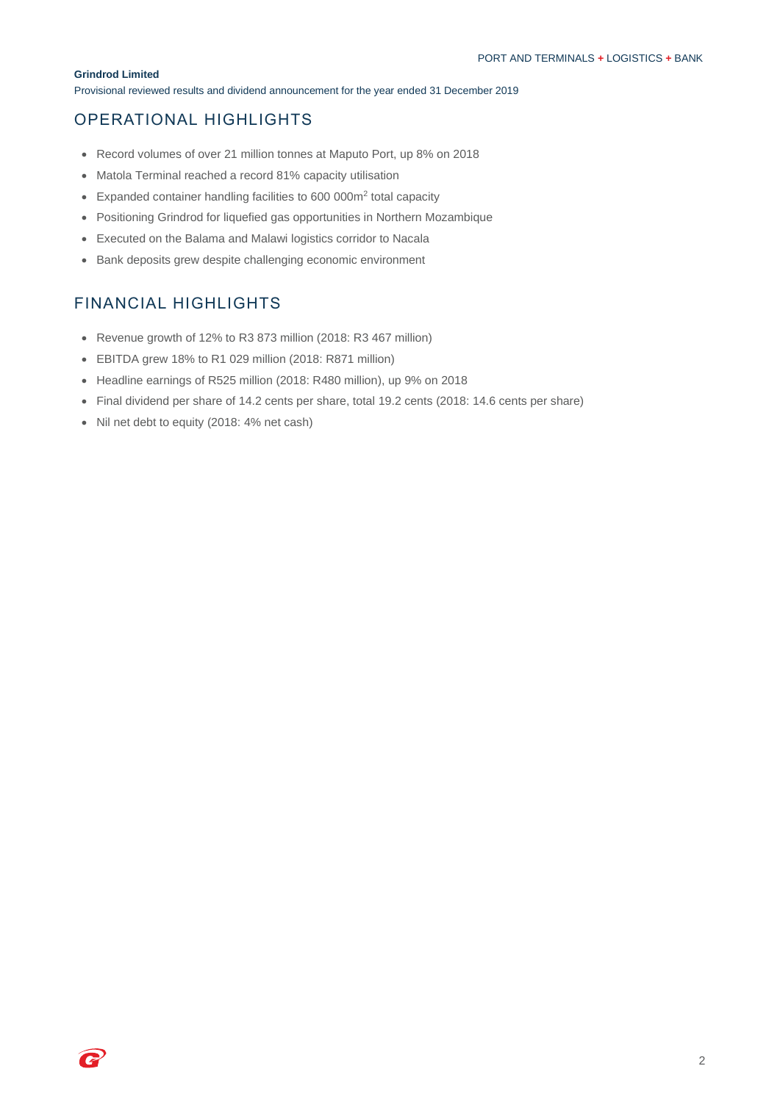Provisional reviewed results and dividend announcement for the year ended 31 December 2019

# OPERATIONAL HIGHLIGHTS

- Record volumes of over 21 million tonnes at Maputo Port, up 8% on 2018
- Matola Terminal reached a record 81% capacity utilisation
- Expanded container handling facilities to 600 000m<sup>2</sup> total capacity
- Positioning Grindrod for liquefied gas opportunities in Northern Mozambique
- Executed on the Balama and Malawi logistics corridor to Nacala
- Bank deposits grew despite challenging economic environment

# FINANCIAL HIGHLIGHTS

- Revenue growth of 12% to R3 873 million (2018: R3 467 million)
- EBITDA grew 18% to R1 029 million (2018: R871 million)
- Headline earnings of R525 million (2018: R480 million), up 9% on 2018
- Final dividend per share of 14.2 cents per share, total 19.2 cents (2018: 14.6 cents per share)
- Nil net debt to equity (2018: 4% net cash)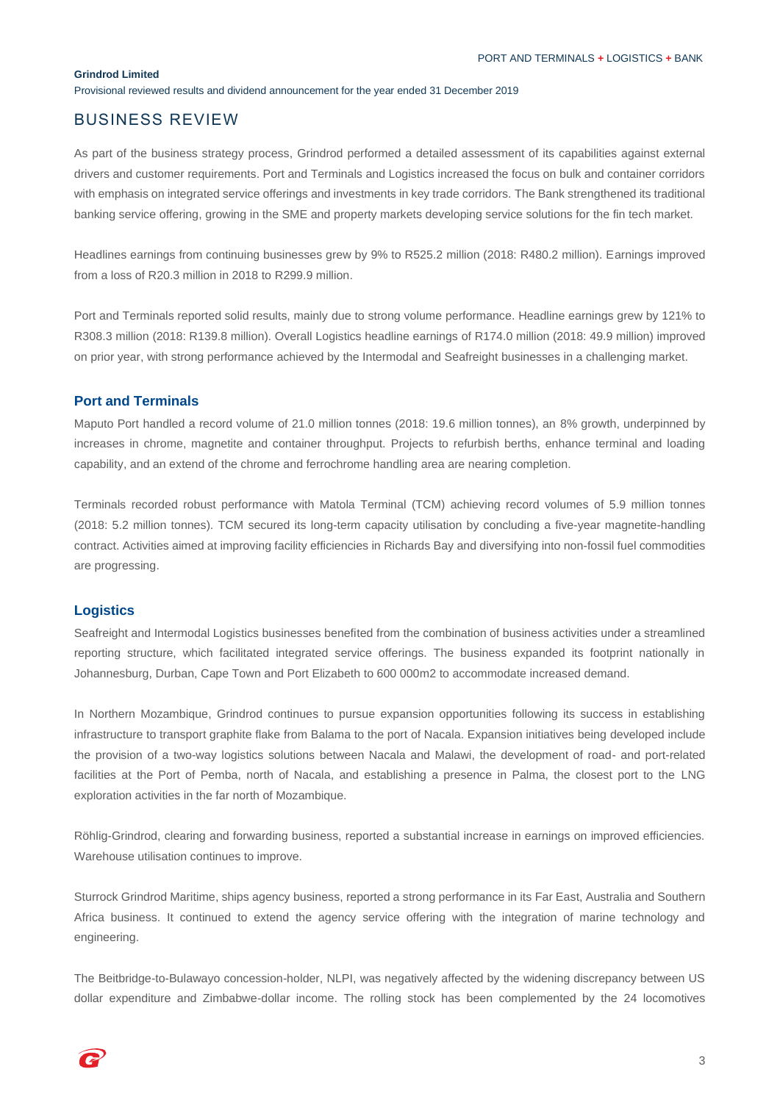Provisional reviewed results and dividend announcement for the year ended 31 December 2019

## BUSINESS REVIEW

As part of the business strategy process, Grindrod performed a detailed assessment of its capabilities against external drivers and customer requirements. Port and Terminals and Logistics increased the focus on bulk and container corridors with emphasis on integrated service offerings and investments in key trade corridors. The Bank strengthened its traditional banking service offering, growing in the SME and property markets developing service solutions for the fin tech market.

Headlines earnings from continuing businesses grew by 9% to R525.2 million (2018: R480.2 million). Earnings improved from a loss of R20.3 million in 2018 to R299.9 million.

Port and Terminals reported solid results, mainly due to strong volume performance. Headline earnings grew by 121% to R308.3 million (2018: R139.8 million). Overall Logistics headline earnings of R174.0 million (2018: 49.9 million) improved on prior year, with strong performance achieved by the Intermodal and Seafreight businesses in a challenging market.

### **Port and Terminals**

Maputo Port handled a record volume of 21.0 million tonnes (2018: 19.6 million tonnes), an 8% growth, underpinned by increases in chrome, magnetite and container throughput. Projects to refurbish berths, enhance terminal and loading capability, and an extend of the chrome and ferrochrome handling area are nearing completion.

Terminals recorded robust performance with Matola Terminal (TCM) achieving record volumes of 5.9 million tonnes (2018: 5.2 million tonnes). TCM secured its long-term capacity utilisation by concluding a five-year magnetite-handling contract. Activities aimed at improving facility efficiencies in Richards Bay and diversifying into non-fossil fuel commodities are progressing.

### **Logistics**

Seafreight and Intermodal Logistics businesses benefited from the combination of business activities under a streamlined reporting structure, which facilitated integrated service offerings. The business expanded its footprint nationally in Johannesburg, Durban, Cape Town and Port Elizabeth to 600 000m2 to accommodate increased demand.

In Northern Mozambique, Grindrod continues to pursue expansion opportunities following its success in establishing infrastructure to transport graphite flake from Balama to the port of Nacala. Expansion initiatives being developed include the provision of a two-way logistics solutions between Nacala and Malawi, the development of road- and port-related facilities at the Port of Pemba, north of Nacala, and establishing a presence in Palma, the closest port to the LNG exploration activities in the far north of Mozambique.

Röhlig-Grindrod, clearing and forwarding business, reported a substantial increase in earnings on improved efficiencies. Warehouse utilisation continues to improve.

Sturrock Grindrod Maritime, ships agency business, reported a strong performance in its Far East, Australia and Southern Africa business. It continued to extend the agency service offering with the integration of marine technology and engineering.

The Beitbridge-to-Bulawayo concession-holder, NLPI, was negatively affected by the widening discrepancy between US dollar expenditure and Zimbabwe-dollar income. The rolling stock has been complemented by the 24 locomotives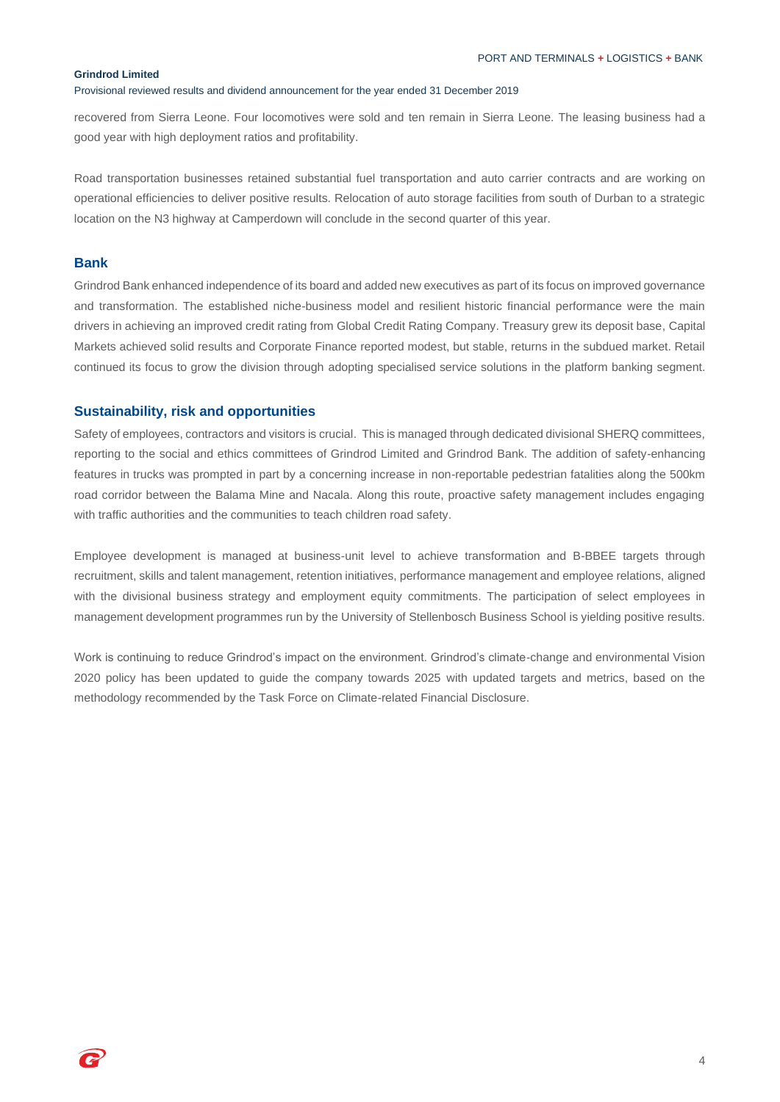#### Provisional reviewed results and dividend announcement for the year ended 31 December 2019

recovered from Sierra Leone. Four locomotives were sold and ten remain in Sierra Leone. The leasing business had a good year with high deployment ratios and profitability.

Road transportation businesses retained substantial fuel transportation and auto carrier contracts and are working on operational efficiencies to deliver positive results. Relocation of auto storage facilities from south of Durban to a strategic location on the N3 highway at Camperdown will conclude in the second quarter of this year.

## **Bank**

Grindrod Bank enhanced independence of its board and added new executives as part of its focus on improved governance and transformation. The established niche-business model and resilient historic financial performance were the main drivers in achieving an improved credit rating from Global Credit Rating Company. Treasury grew its deposit base, Capital Markets achieved solid results and Corporate Finance reported modest, but stable, returns in the subdued market. Retail continued its focus to grow the division through adopting specialised service solutions in the platform banking segment.

### **Sustainability, risk and opportunities**

Safety of employees, contractors and visitors is crucial. This is managed through dedicated divisional SHERQ committees, reporting to the social and ethics committees of Grindrod Limited and Grindrod Bank. The addition of safety-enhancing features in trucks was prompted in part by a concerning increase in non-reportable pedestrian fatalities along the 500km road corridor between the Balama Mine and Nacala. Along this route, proactive safety management includes engaging with traffic authorities and the communities to teach children road safety.

Employee development is managed at business-unit level to achieve transformation and B-BBEE targets through recruitment, skills and talent management, retention initiatives, performance management and employee relations, aligned with the divisional business strategy and employment equity commitments. The participation of select employees in management development programmes run by the University of Stellenbosch Business School is yielding positive results.

Work is continuing to reduce Grindrod's impact on the environment. Grindrod's climate-change and environmental Vision 2020 policy has been updated to guide the company towards 2025 with updated targets and metrics, based on the methodology recommended by the Task Force on Climate-related Financial Disclosure.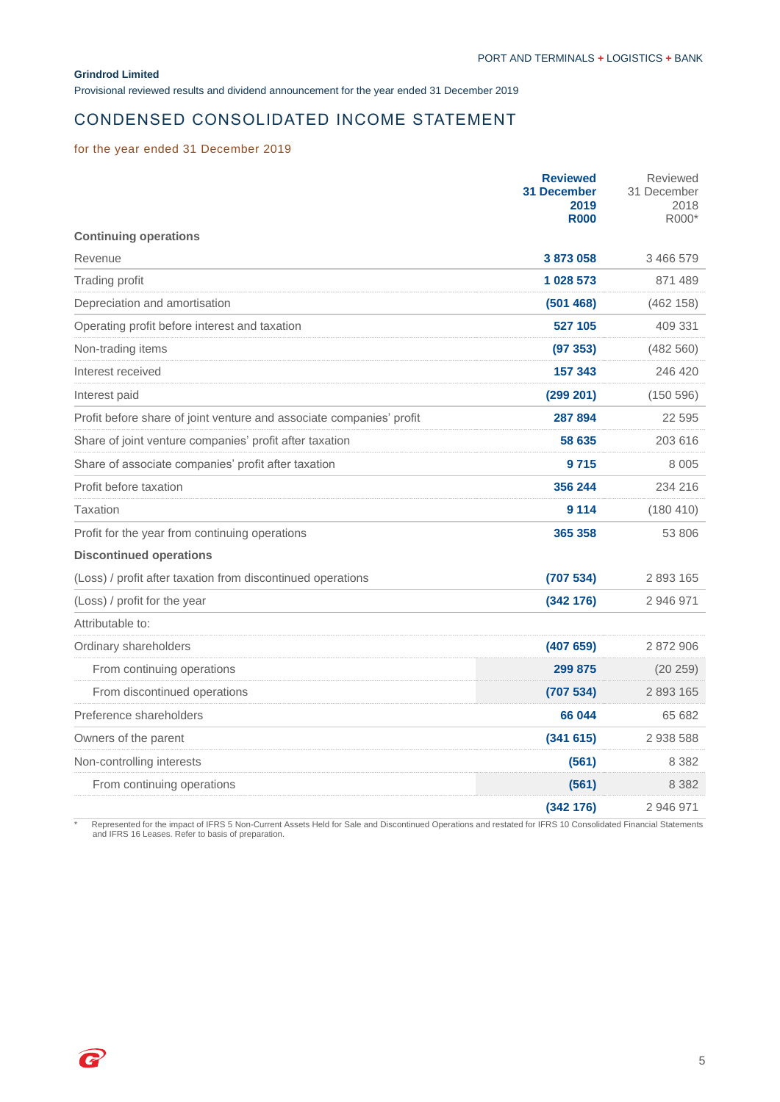Provisional reviewed results and dividend announcement for the year ended 31 December 2019

# CONDENSED CONSOLIDATED INCOME STATEMENT

## for the year ended 31 December 2019

|                                                                      | <b>Reviewed</b><br><b>31 December</b><br>2019<br><b>R000</b> | Reviewed<br>31 December<br>2018<br>R000* |
|----------------------------------------------------------------------|--------------------------------------------------------------|------------------------------------------|
| <b>Continuing operations</b>                                         |                                                              |                                          |
| Revenue                                                              | 3873058                                                      | 3 466 579                                |
| Trading profit                                                       | 1 028 573                                                    | 871 489                                  |
| Depreciation and amortisation                                        | (501468)                                                     | (462 158)                                |
| Operating profit before interest and taxation                        | 527 105                                                      | 409 331                                  |
| Non-trading items                                                    | (97353)                                                      | (482 560)                                |
| Interest received                                                    | 157 343                                                      | 246 420                                  |
| Interest paid                                                        | (299 201)                                                    | (150596)                                 |
| Profit before share of joint venture and associate companies' profit | 287 894                                                      | 22 5 9 5                                 |
| Share of joint venture companies' profit after taxation              | 58 635                                                       | 203 616                                  |
| Share of associate companies' profit after taxation                  | 9715                                                         | 8 0 0 5                                  |
| Profit before taxation                                               | 356 244                                                      | 234 216                                  |
| Taxation                                                             | 9 1 1 4                                                      | (180 410)                                |
| Profit for the year from continuing operations                       | 365 358                                                      | 53 806                                   |
| <b>Discontinued operations</b>                                       |                                                              |                                          |
| (Loss) / profit after taxation from discontinued operations          | (707534)                                                     | 2893165                                  |
| (Loss) / profit for the year                                         | (342 176)                                                    | 2 946 971                                |
| Attributable to:                                                     |                                                              |                                          |
| Ordinary shareholders                                                | (407659)                                                     | 2 872 906                                |
| From continuing operations                                           | 299 875                                                      | (20 259)                                 |
| From discontinued operations                                         | (707534)                                                     | 2 893 165                                |
| Preference shareholders                                              | 66 044                                                       | 65 682                                   |
| Owners of the parent                                                 | (341615)                                                     | 2 938 588                                |
| Non-controlling interests                                            | (561)                                                        | 8 3 8 2                                  |
| From continuing operations                                           | (561)                                                        | 8 3 8 2                                  |
|                                                                      | (342 176)                                                    | 2 946 971                                |

\* Represented for the impact of IFRS 5 Non-Current Assets Held for Sale and Discontinued Operations and restated for IFRS 10 Consolidated Financial Statements and IFRS 16 Leases. Refer to basis of preparation.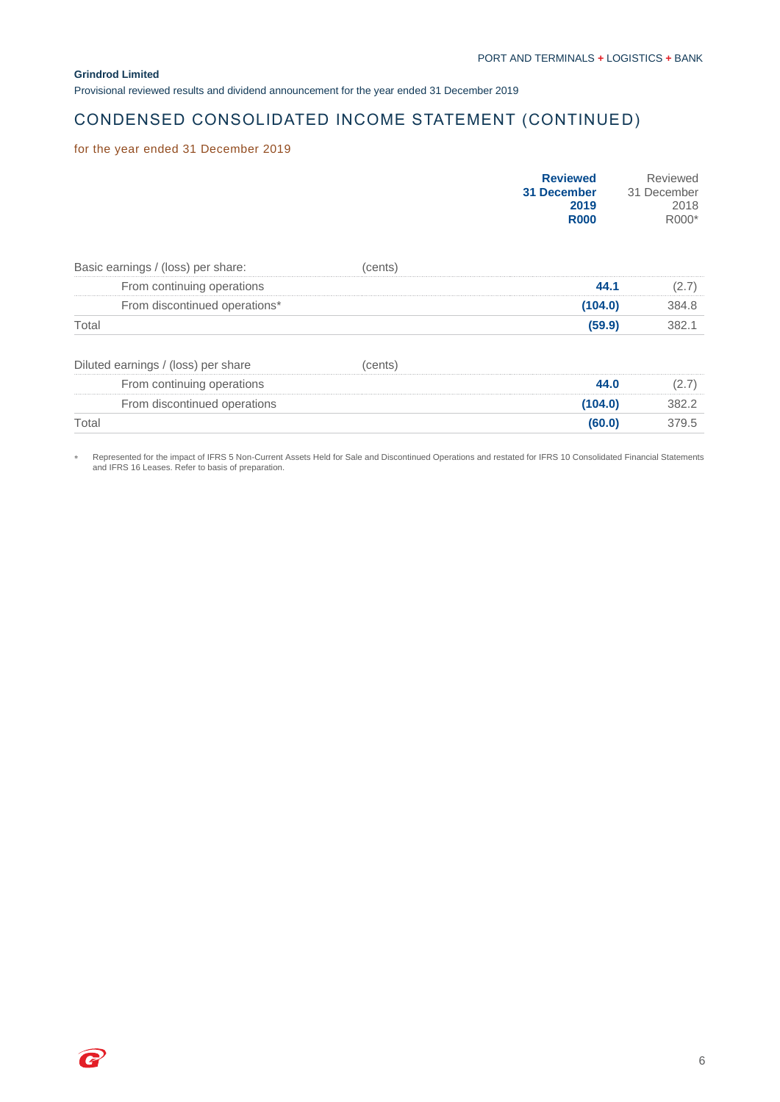Provisional reviewed results and dividend announcement for the year ended 31 December 2019

# CONDENSED CONSOLIDATED INCOME STATEMENT (CONTINUED)

## for the year ended 31 December 2019

|                                     |         | <b>Reviewed</b><br>31 December<br>2019<br><b>R000</b> | Reviewed<br>31 December<br>2018<br>R000* |
|-------------------------------------|---------|-------------------------------------------------------|------------------------------------------|
| Basic earnings / (loss) per share:  | (cents) |                                                       |                                          |
| From continuing operations          |         | 44.1                                                  | (2.7)                                    |
| From discontinued operations*       |         | (104.0)                                               | 384.8                                    |
| Total                               |         | (59.9)                                                | 382.1                                    |
| Diluted earnings / (loss) per share | (cents) |                                                       |                                          |
| From continuing operations          |         | 44.0                                                  | (2.7)                                    |
| From discontinued operations        |         | (104.0)                                               | 382.2                                    |
| Total                               |         | (60.0)                                                | 379.5                                    |

Represented for the impact of IFRS 5 Non-Current Assets Held for Sale and Discontinued Operations and restated for IFRS 10 Consolidated Financial Statements and IFRS 16 Leases. Refer to basis of preparation.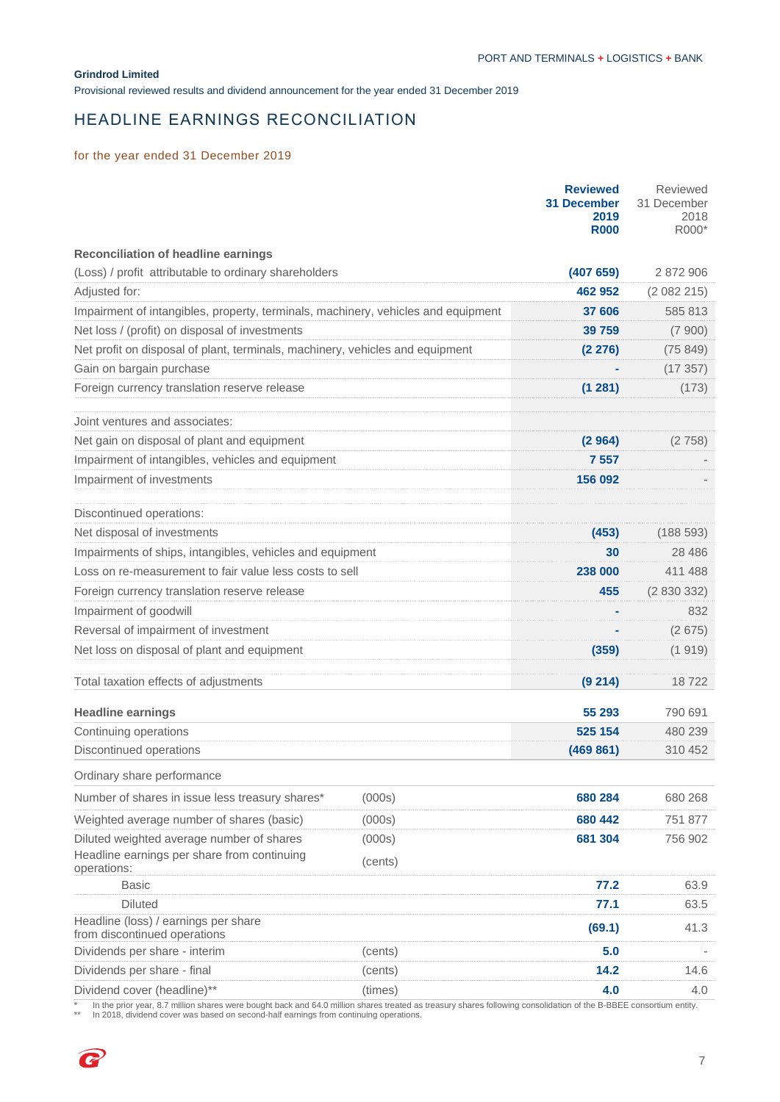Provisional reviewed results and dividend announcement for the year ended 31 December 2019

# HEADLINE EARNINGS RECONCILIATION

## for the year ended 31 December 2019

|                                                                                                         |                   | <b>Reviewed</b><br><b>31 December</b><br>2019<br><b>R000</b> | Reviewed<br>31 December<br>2018<br>R000* |
|---------------------------------------------------------------------------------------------------------|-------------------|--------------------------------------------------------------|------------------------------------------|
| <b>Reconciliation of headline earnings</b>                                                              |                   |                                                              |                                          |
| (Loss) / profit attributable to ordinary shareholders                                                   |                   | (407659)                                                     | 2 872 906                                |
| Adjusted for:                                                                                           |                   | 462 952                                                      | (2082215)                                |
| Impairment of intangibles, property, terminals, machinery, vehicles and equipment                       |                   | 37 606                                                       | 585 813                                  |
| Net loss / (profit) on disposal of investments                                                          |                   | 39 759                                                       | (7900)                                   |
| Net profit on disposal of plant, terminals, machinery, vehicles and equipment                           |                   | (2 276)                                                      | (75849)                                  |
| Gain on bargain purchase                                                                                |                   |                                                              | (17357)                                  |
| Foreign currency translation reserve release                                                            |                   | (1281)                                                       | (173)                                    |
| Joint ventures and associates:                                                                          |                   |                                                              |                                          |
| Net gain on disposal of plant and equipment                                                             |                   | (2964)                                                       | (2758)                                   |
| Impairment of intangibles, vehicles and equipment                                                       |                   | 7 5 5 7                                                      |                                          |
| Impairment of investments                                                                               |                   | 156 092                                                      |                                          |
| Discontinued operations:                                                                                |                   |                                                              |                                          |
| Net disposal of investments                                                                             |                   | (453)                                                        | (188593)                                 |
| Impairments of ships, intangibles, vehicles and equipment                                               |                   | 30                                                           | 28 486                                   |
| Loss on re-measurement to fair value less costs to sell                                                 |                   | 238 000                                                      | 411 488                                  |
| Foreign currency translation reserve release                                                            |                   | 455                                                          | (2830332)                                |
| Impairment of goodwill                                                                                  |                   |                                                              | 832                                      |
| Reversal of impairment of investment                                                                    |                   |                                                              | (2675)                                   |
| Net loss on disposal of plant and equipment                                                             |                   | (359)                                                        | (1919)                                   |
| Total taxation effects of adjustments                                                                   |                   | (9 214)                                                      | 18722                                    |
| <b>Headline earnings</b>                                                                                |                   | 55 293                                                       | 790 691                                  |
| Continuing operations                                                                                   |                   | 525 154                                                      | 480 239                                  |
| Discontinued operations                                                                                 |                   | (469 861)                                                    | 310 452                                  |
| Ordinary share performance                                                                              |                   |                                                              |                                          |
| Number of shares in issue less treasury shares*                                                         | (000s)            | 680 284                                                      | 680 268                                  |
| Weighted average number of shares (basic)                                                               | (000s)            | 680 442                                                      | 751 877                                  |
| Diluted weighted average number of shares<br>Headline earnings per share from continuing<br>operations: | (000s)<br>(cents) | 681 304                                                      | 756 902                                  |
| <b>Basic</b>                                                                                            |                   | 77.2                                                         | 63.9                                     |
| <b>Diluted</b>                                                                                          |                   | 77.1                                                         | 63.5                                     |
| Headline (loss) / earnings per share<br>from discontinued operations                                    |                   | (69.1)                                                       | 41.3                                     |
| Dividends per share - interim                                                                           | (cents)           | 5.0                                                          |                                          |
| Dividends per share - final                                                                             | (cents)           | 14.2                                                         | 14.6                                     |
| Dividend cover (headline)**                                                                             | (times)           | 4.0                                                          | 4.0                                      |

\* In the prior year, 8.7 million shares were bought back and 64.0 million shares treated as treasury shares following consolidation of the B-BBEE consortium entity.<br>\*\* In 2018, dividend cover was based on second-half earni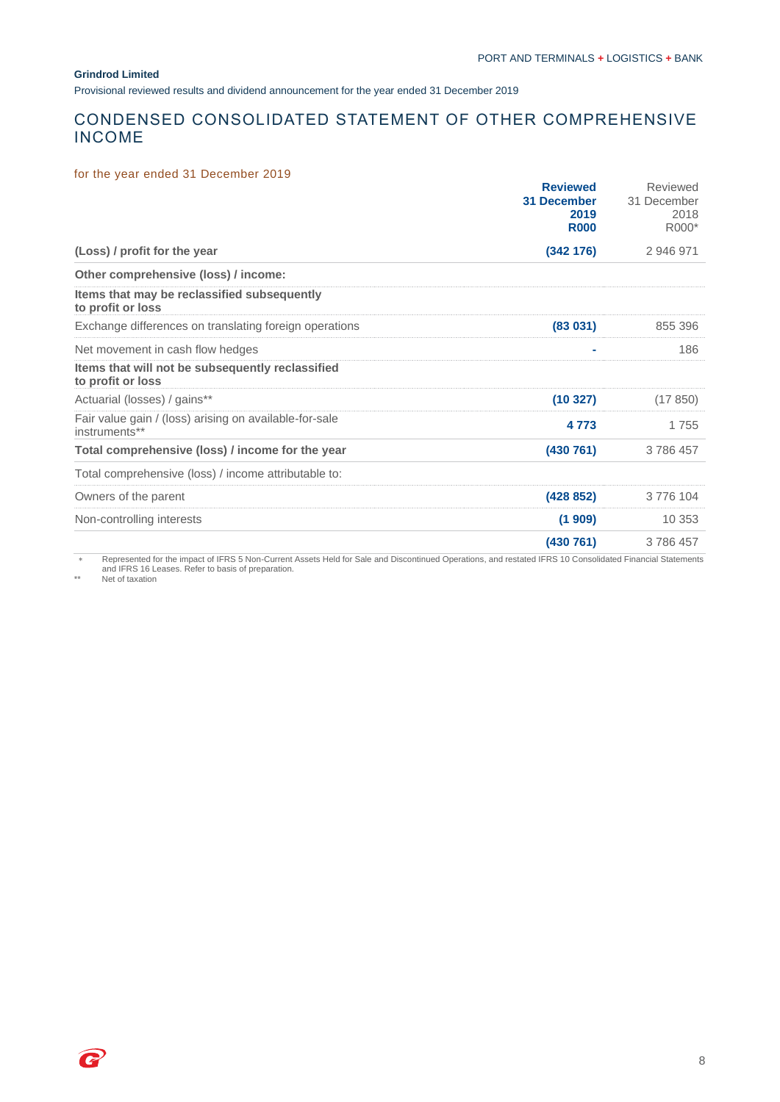Provisional reviewed results and dividend announcement for the year ended 31 December 2019

# CONDENSED CONSOLIDATED STATEMENT OF OTHER COMPREHENSIVE INCOME

### for the year ended 31 December 2019

|                                                                         | <b>Reviewed</b><br><b>31 December</b><br>2019<br><b>R000</b> | Reviewed<br>31 December<br>2018<br>R000* |
|-------------------------------------------------------------------------|--------------------------------------------------------------|------------------------------------------|
| (Loss) / profit for the year                                            | (342 176)                                                    | 2 946 971                                |
| Other comprehensive (loss) / income:                                    |                                                              |                                          |
| Items that may be reclassified subsequently<br>to profit or loss        |                                                              |                                          |
| Exchange differences on translating foreign operations                  | (83 031)                                                     | 855 396                                  |
| Net movement in cash flow hedges                                        | ۰                                                            | 186                                      |
| Items that will not be subsequently reclassified<br>to profit or loss   |                                                              |                                          |
| Actuarial (losses) / gains**                                            | (10327)                                                      | (17850)                                  |
| Fair value gain / (loss) arising on available-for-sale<br>instruments** | 4 7 7 3                                                      | 1755                                     |
| Total comprehensive (loss) / income for the year                        | (430 761)                                                    | 3786457                                  |
| Total comprehensive (loss) / income attributable to:                    |                                                              |                                          |
| Owners of the parent                                                    | (428 852)                                                    | 3776104                                  |
| Non-controlling interests                                               | (1909)                                                       | 10 353                                   |
|                                                                         | (430 761)                                                    | 3786457                                  |

Represented for the impact of IFRS 5 Non-Current Assets Held for Sale and Discontinued Operations, and restated IFRS 10 Consolidated Financial Statements and IFRS 16 Leases. Refer to basis of preparation.

\*\* Net of taxation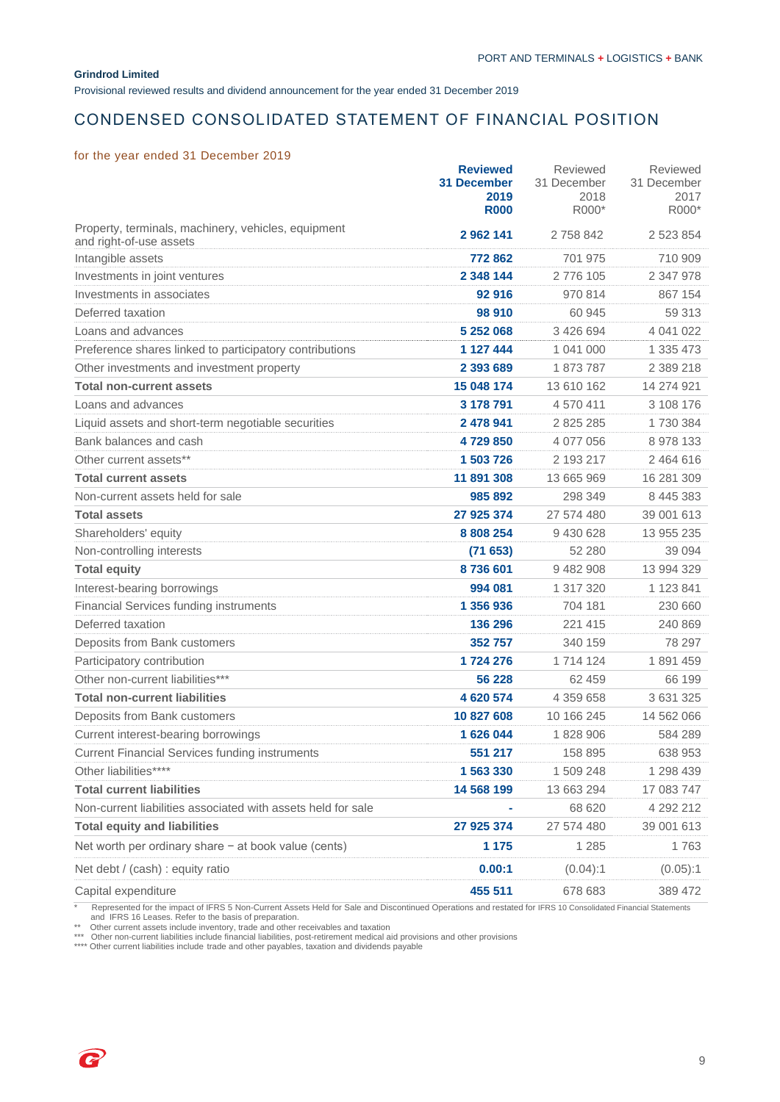Provisional reviewed results and dividend announcement for the year ended 31 December 2019

# CONDENSED CONSOLIDATED STATEMENT OF FINANCIAL POSITION

### for the year ended 31 December 2019

|                                                                                | <b>Reviewed</b><br>31 December<br>2019<br><b>R000</b> | Reviewed<br>31 December<br>2018<br>R000* | Reviewed<br>31 December<br>2017<br>R000* |
|--------------------------------------------------------------------------------|-------------------------------------------------------|------------------------------------------|------------------------------------------|
| Property, terminals, machinery, vehicles, equipment<br>and right-of-use assets | 2 962 141                                             | 2758842                                  | 2 523 854                                |
| Intangible assets                                                              | 772862                                                | 701 975                                  | 710 909                                  |
| Investments in joint ventures                                                  | 2 348 144                                             | 2776 105                                 | 2 347 978                                |
| Investments in associates                                                      | 92 916                                                | 970 814                                  | 867 154                                  |
| Deferred taxation                                                              | 98 910                                                | 60 945                                   | 59 313                                   |
| Loans and advances                                                             | 5 252 068                                             | 3 426 694                                | 4 041 022                                |
| Preference shares linked to participatory contributions                        | 1 127 444                                             | 1 041 000                                | 1 335 473                                |
| Other investments and investment property                                      | 2 393 689                                             | 1873787                                  | 2 389 218                                |
| <b>Total non-current assets</b>                                                | 15 048 174                                            | 13 610 162                               | 14 274 921                               |
| Loans and advances                                                             | 3 178 791                                             | 4 570 411                                | 3 108 176                                |
| Liquid assets and short-term negotiable securities                             | 2 478 941                                             | 2 825 285                                | 1730384                                  |
| Bank balances and cash                                                         | 4729850                                               | 4 077 056                                | 8 978 133                                |
| Other current assets**                                                         | 1 503 726                                             | 2 193 217                                | 2 464 616                                |
| <b>Total current assets</b>                                                    | 11 891 308                                            | 13 665 969                               | 16 281 309                               |
| Non-current assets held for sale                                               | 985 892                                               | 298 349                                  | 8 445 383                                |
| <b>Total assets</b>                                                            | 27 925 374                                            | 27 574 480                               | 39 001 613                               |
| Shareholders' equity                                                           | 8 808 254                                             | 9 430 628                                | 13 955 235                               |
| Non-controlling interests                                                      | (71653)                                               | 52 280                                   | 39 0 94                                  |
| <b>Total equity</b>                                                            | 8736601                                               | 9 482 908                                | 13 994 329                               |
| Interest-bearing borrowings                                                    | 994 081                                               | 1 317 320                                | 1 123 841                                |
| <b>Financial Services funding instruments</b>                                  | 1 356 936                                             | 704 181                                  | 230 660                                  |
| Deferred taxation                                                              | 136 296                                               | 221 415                                  | 240 869                                  |
| Deposits from Bank customers                                                   | 352757                                                | 340 159                                  | 78 297                                   |
| Participatory contribution                                                     | 1724 276                                              | 1 714 124                                | 1891459                                  |
| Other non-current liabilities***                                               | 56 228                                                | 62 459                                   | 66 199                                   |
| <b>Total non-current liabilities</b>                                           | 4 620 574                                             | 4 359 658                                | 3 631 325                                |
| Deposits from Bank customers                                                   | 10 827 608                                            | 10 166 245                               | 14 562 066                               |
| Current interest-bearing borrowings                                            | 1 626 044                                             | 1828906                                  | 584 289                                  |
| <b>Current Financial Services funding instruments</b>                          | 551 217                                               | 158 895                                  | 638 953                                  |
| Other liabilities****                                                          | 1 563 330                                             | 1 509 248                                | 1 298 439                                |
| <b>Total current liabilities</b>                                               | 14 568 199                                            | 13 663 294                               | 17 083 747                               |
| Non-current liabilities associated with assets held for sale                   |                                                       | 68 620                                   | 4 292 212                                |
| <b>Total equity and liabilities</b>                                            | 27 925 374                                            | 27 574 480                               | 39 001 613                               |
| Net worth per ordinary share - at book value (cents)                           | 1 1 7 5                                               | 1 2 8 5                                  | 1763                                     |
| Net debt / (cash) : equity ratio                                               | 0.00:1                                                | (0.04):1                                 | (0.05):1                                 |
| Capital expenditure                                                            | 455 511                                               | 678 683                                  | 389 472                                  |

\* Represented for the impact of IFRS 5 Non-Current Assets Held for Sale and Discontinued Operations and restated for IFRS 10 Consolidated Financial Statements

and IFRS 16 Leases. Refer to the basis of preparation.<br>\*\* Other current assets include inventory, trade and other receivables and taxation<br>\*\*\* Other non-current liabilities include financial liabilities, post-retirement me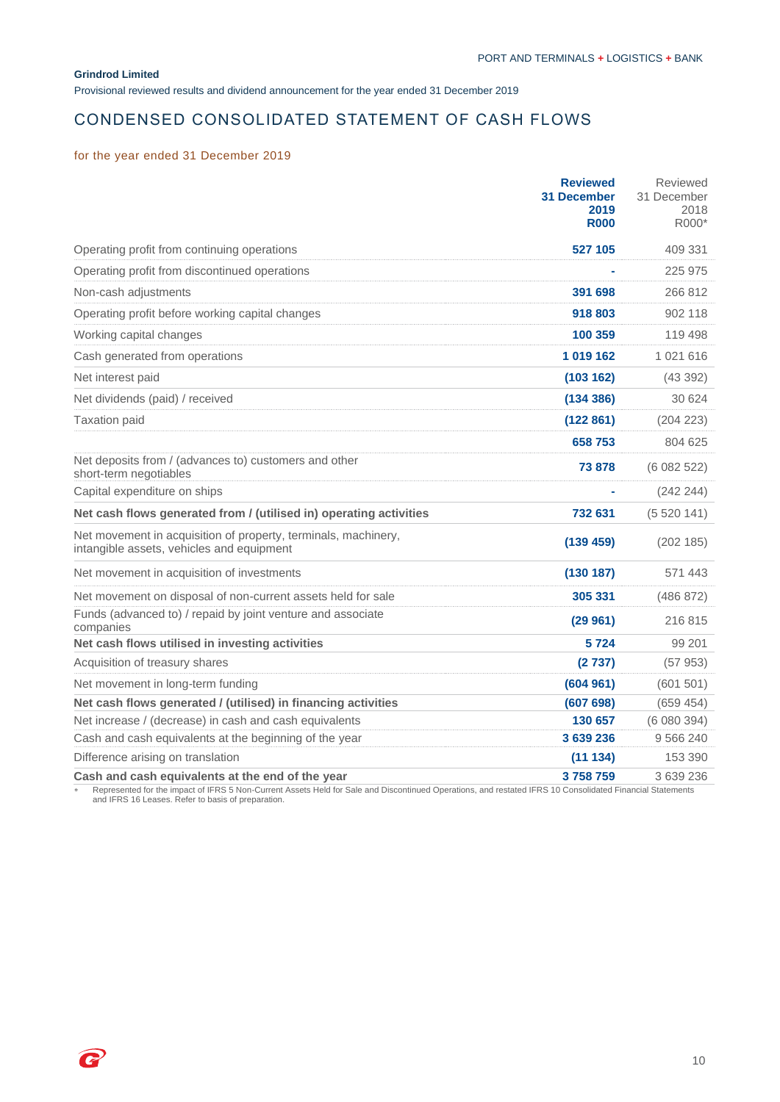Provisional reviewed results and dividend announcement for the year ended 31 December 2019

# CONDENSED CONSOLIDATED STATEMENT OF CASH FLOWS

## for the year ended 31 December 2019

|                                                                                                             | <b>Reviewed</b><br><b>31 December</b><br>2019<br><b>R000</b> | Reviewed<br>31 December<br>2018<br>R000* |
|-------------------------------------------------------------------------------------------------------------|--------------------------------------------------------------|------------------------------------------|
| Operating profit from continuing operations                                                                 | 527 105                                                      | 409 331                                  |
| Operating profit from discontinued operations                                                               |                                                              | 225 975                                  |
| Non-cash adjustments                                                                                        | 391 698                                                      | 266 812                                  |
| Operating profit before working capital changes                                                             | 918 803                                                      | 902 118                                  |
| Working capital changes                                                                                     | 100 359                                                      | 119 498                                  |
| Cash generated from operations                                                                              | 1019162                                                      | 1 021 616                                |
| Net interest paid                                                                                           | (103 162)                                                    | (43392)                                  |
| Net dividends (paid) / received                                                                             | (134 386)                                                    | 30 624                                   |
| <b>Taxation paid</b>                                                                                        | (122 861)                                                    | (204 223)                                |
|                                                                                                             | 658753                                                       | 804 625                                  |
| Net deposits from / (advances to) customers and other<br>short-term negotiables                             | 73 878                                                       | (6082522)                                |
| Capital expenditure on ships                                                                                |                                                              | (242 244)                                |
| Net cash flows generated from / (utilised in) operating activities                                          | 732 631                                                      | (5520141)                                |
| Net movement in acquisition of property, terminals, machinery,<br>intangible assets, vehicles and equipment | (139 459)                                                    | (202 185)                                |
| Net movement in acquisition of investments                                                                  | (130 187)                                                    | 571 443                                  |
| Net movement on disposal of non-current assets held for sale                                                | 305 331                                                      | (486 872)                                |
| Funds (advanced to) / repaid by joint venture and associate<br>companies                                    | (29961)                                                      | 216815                                   |
| Net cash flows utilised in investing activities                                                             | 5724                                                         | 99 201                                   |
| Acquisition of treasury shares                                                                              | (2737)                                                       | (57953)                                  |
| Net movement in long-term funding                                                                           | (604961)                                                     | (601501)                                 |
| Net cash flows generated / (utilised) in financing activities                                               | (607698)                                                     | (659 454)                                |
| Net increase / (decrease) in cash and cash equivalents                                                      | 130 657                                                      | (6080394)                                |
| Cash and cash equivalents at the beginning of the year                                                      | 3 639 236                                                    | 9 5 6 2 4 0                              |
| Difference arising on translation                                                                           | (11134)                                                      | 153 390                                  |
| Cash and cash equivalents at the end of the year                                                            | 3758759                                                      | 3 639 236                                |

Represented for the impact of IFRS 5 Non-Current Assets Held for Sale and Discontinued Operations, and restated IFRS 10 Consolidated Financial Statements and IFRS 16 Leases. Refer to basis of preparation.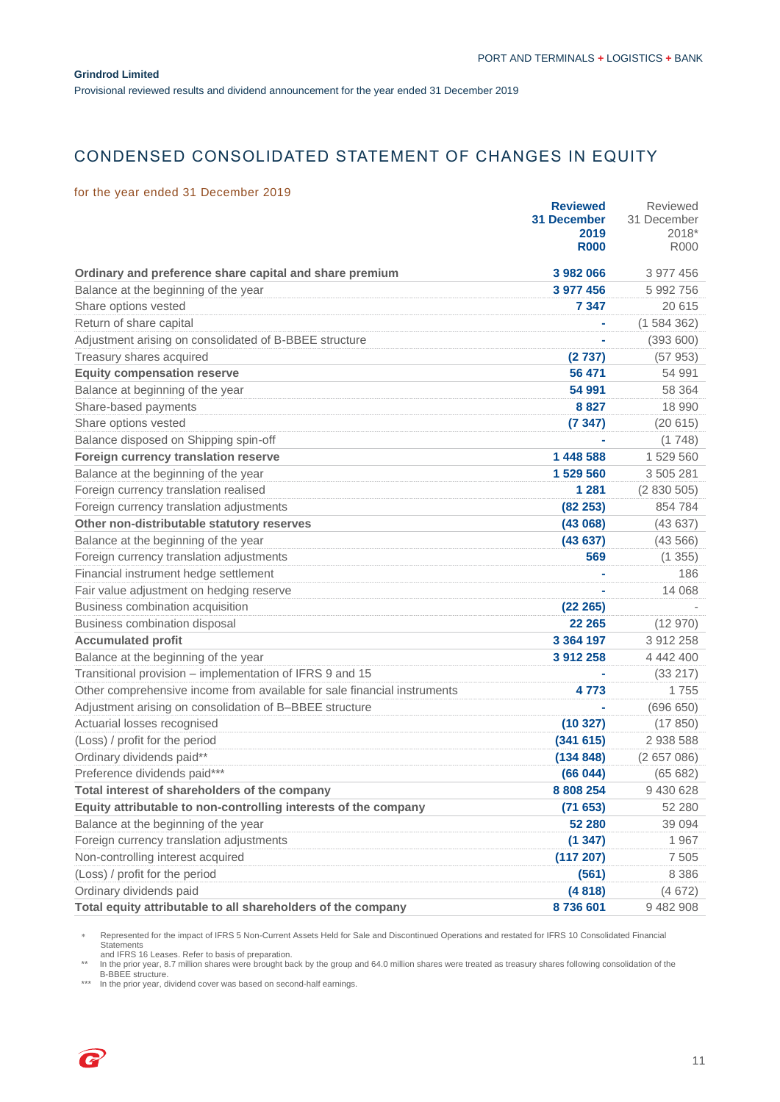Provisional reviewed results and dividend announcement for the year ended 31 December 2019

# CONDENSED CONSOLIDATED STATEMENT OF CHANGES IN EQUITY

### for the year ended 31 December 2019

| 100, 000, 0000, 0000, 0000, 0000                                         | <b>Reviewed</b><br><b>31 December</b><br>2019<br><b>R000</b> | Reviewed<br>31 December<br>2018*<br><b>R000</b> |
|--------------------------------------------------------------------------|--------------------------------------------------------------|-------------------------------------------------|
| Ordinary and preference share capital and share premium                  | 3 982 066                                                    | 3 977 456                                       |
| Balance at the beginning of the year                                     | 3 977 456                                                    | 5 992 756                                       |
| Share options vested                                                     | 7 347                                                        | 20 615                                          |
| Return of share capital                                                  |                                                              | (1584362)                                       |
| Adjustment arising on consolidated of B-BBEE structure                   |                                                              | (393600)                                        |
| Treasury shares acquired                                                 | (2737)                                                       | (57953)                                         |
| <b>Equity compensation reserve</b>                                       | 56 471                                                       | 54 991                                          |
| Balance at beginning of the year                                         | 54 991                                                       | 58 364                                          |
| Share-based payments                                                     | 8827                                                         | 18 990                                          |
| Share options vested                                                     | (7347)                                                       | (20615)                                         |
| Balance disposed on Shipping spin-off                                    |                                                              | (1748)                                          |
| Foreign currency translation reserve                                     | 1 448 588                                                    | 1 529 560                                       |
| Balance at the beginning of the year                                     | 1 529 560                                                    | 3 505 281                                       |
| Foreign currency translation realised                                    | 1 281                                                        | (2830505)                                       |
| Foreign currency translation adjustments                                 | (82 253)                                                     | 854 784                                         |
| Other non-distributable statutory reserves                               | (43068)                                                      | (43637)                                         |
| Balance at the beginning of the year                                     | (43637)                                                      | (43566)                                         |
| Foreign currency translation adjustments                                 | 569                                                          | (1355)                                          |
| Financial instrument hedge settlement                                    |                                                              | 186                                             |
| Fair value adjustment on hedging reserve                                 |                                                              | 14 0 68                                         |
| Business combination acquisition                                         | (22 265)                                                     |                                                 |
| Business combination disposal                                            | 22 265                                                       | (12970)                                         |
| <b>Accumulated profit</b>                                                | 3 3 6 4 1 9 7                                                | 3 912 258                                       |
| Balance at the beginning of the year                                     | 3 912 258                                                    | 4 442 400                                       |
| Transitional provision - implementation of IFRS 9 and 15                 |                                                              | (33 217)                                        |
| Other comprehensive income from available for sale financial instruments | 4 773                                                        | 1755                                            |
| Adjustment arising on consolidation of B-BBEE structure                  |                                                              | (696650)                                        |
| Actuarial losses recognised                                              | (10327)                                                      | (17850)                                         |
| (Loss) / profit for the period                                           | (341615)                                                     | 2 938 588                                       |
| Ordinary dividends paid**                                                | (134848)                                                     | (2657086)                                       |
| Preference dividends paid***                                             | (66044)                                                      | (65682)                                         |
| Total interest of shareholders of the company                            | 8 808 254                                                    | 9 430 628                                       |
| Equity attributable to non-controlling interests of the company          | (71653)                                                      | 52 280                                          |
| Balance at the beginning of the year                                     | 52 280                                                       | 39 0 94                                         |
| Foreign currency translation adjustments                                 | (1347)                                                       | 1967                                            |
| Non-controlling interest acquired                                        | (117 207)                                                    | 7 5 0 5                                         |
| (Loss) / profit for the period                                           | (561)                                                        | 8 3 8 6                                         |
| Ordinary dividends paid                                                  | (4818)                                                       | (4672)                                          |
| Total equity attributable to all shareholders of the company             | 8736601                                                      | 9 482 908                                       |

Represented for the impact of IFRS 5 Non-Current Assets Held for Sale and Discontinued Operations and restated for IFRS 10 Consolidated Financial Statements

and IFRS 16 Leases. Refer to basis of preparation.<br>\*\* In the prior year, 8.7 million shares were brought back by the group and 64.0 million shares were treated as treasury shares following consolidation of the<br>B-BBEE s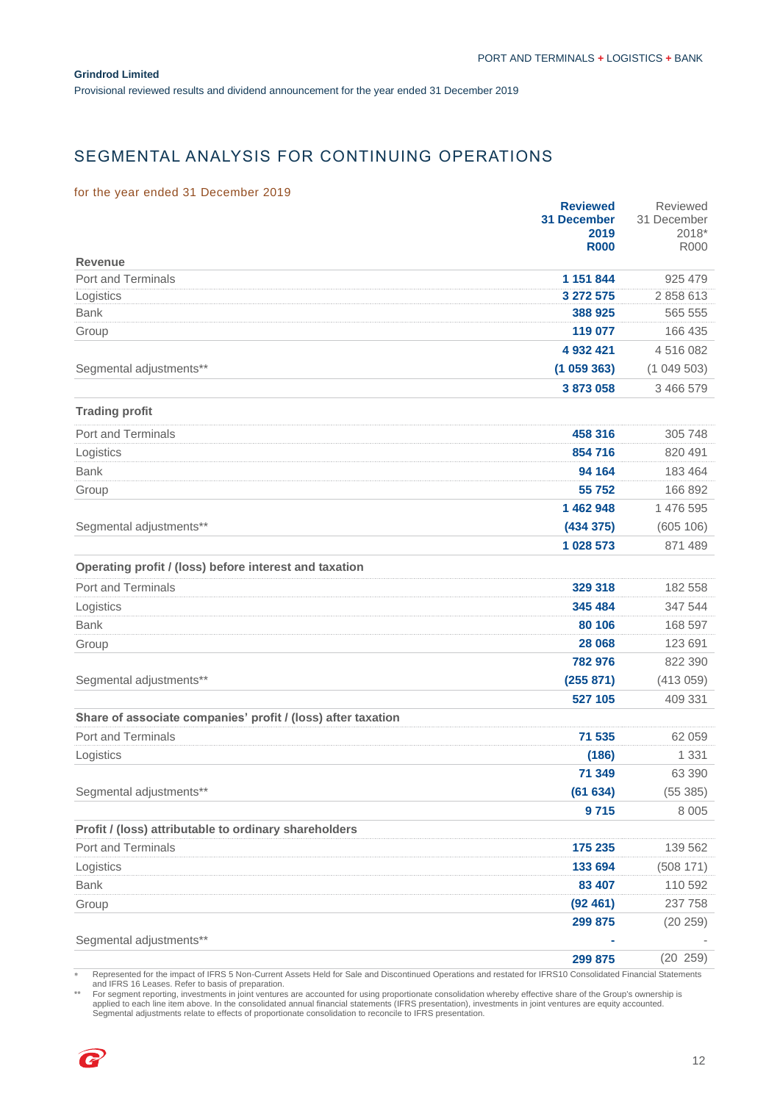Provisional reviewed results and dividend announcement for the year ended 31 December 2019

# SEGMENTAL ANALYSIS FOR CONTINUING OPERATIONS

### for the year ended 31 December 2019

|                                                              | <b>Reviewed</b>     | Reviewed             |
|--------------------------------------------------------------|---------------------|----------------------|
|                                                              | <b>31 December</b>  | 31 December          |
|                                                              | 2019<br><b>R000</b> | 2018*<br><b>R000</b> |
| <b>Revenue</b>                                               |                     |                      |
| <b>Port and Terminals</b>                                    | 1 151 844           | 925 479              |
| Logistics                                                    | 3 272 575           | 2 858 613            |
| <b>Bank</b>                                                  | 388 925             | 565 555              |
| Group                                                        | 119 077             | 166 435              |
|                                                              | 4 932 421           | 4516082              |
| Segmental adjustments**                                      | (1059363)           | (1049503)            |
|                                                              | 3873058             | 3 466 579            |
| <b>Trading profit</b>                                        |                     |                      |
| <b>Port and Terminals</b>                                    | 458 316             | 305 748              |
| Logistics                                                    | 854 716             | 820 491              |
| <b>Bank</b>                                                  | 94 164              | 183 464              |
| Group                                                        | 55 752              | 166 892              |
|                                                              | 1 462 948           | 1 476 595            |
| Segmental adjustments**                                      | (434 375)           | (605 106)            |
|                                                              | 1 028 573           | 871 489              |
| Operating profit / (loss) before interest and taxation       |                     |                      |
| <b>Port and Terminals</b>                                    | 329 318             | 182 558              |
| Logistics                                                    | 345 484             | 347 544              |
| <b>Bank</b>                                                  | 80 106              | 168 597              |
| Group                                                        | 28 068              | 123 691              |
|                                                              | 782 976             | 822 390              |
| Segmental adjustments**                                      | (255 871)           | (413059)             |
|                                                              | 527 105             | 409 331              |
| Share of associate companies' profit / (loss) after taxation |                     |                      |
| <b>Port and Terminals</b>                                    | 71 535              | 62 059               |
| Logistics                                                    | (186)               | 1 3 3 1              |
|                                                              | 71 349              | 63 390               |
| Segmental adjustments**                                      | (61634)             | (55385)              |
|                                                              | 9715                | 8 0 0 5              |
| Profit / (loss) attributable to ordinary shareholders        |                     |                      |
| Port and Terminals                                           | 175 235             | 139 562              |
| Logistics                                                    | 133 694             | (508 171)            |
| <b>Bank</b>                                                  | 83 407              | 110 592              |
| Group                                                        | (92461)             | 237 758              |
|                                                              | 299 875             | (20 259)             |
| Segmental adjustments**                                      |                     |                      |
|                                                              | 299 875             | (20 259)             |

Represented for the impact of IFRS 5 Non-Current Assets Held for Sale and Discontinued Operations and restated for IFRS10 Consolidated Financial Statements and IFRS 16 Leases. Refer to basis of preparation.

For segment reporting, investments in joint ventures are accounted for using proportionate consolidation whereby effective share of the Group's ownership is<br>applied to each line item above. In the consolidated annual finan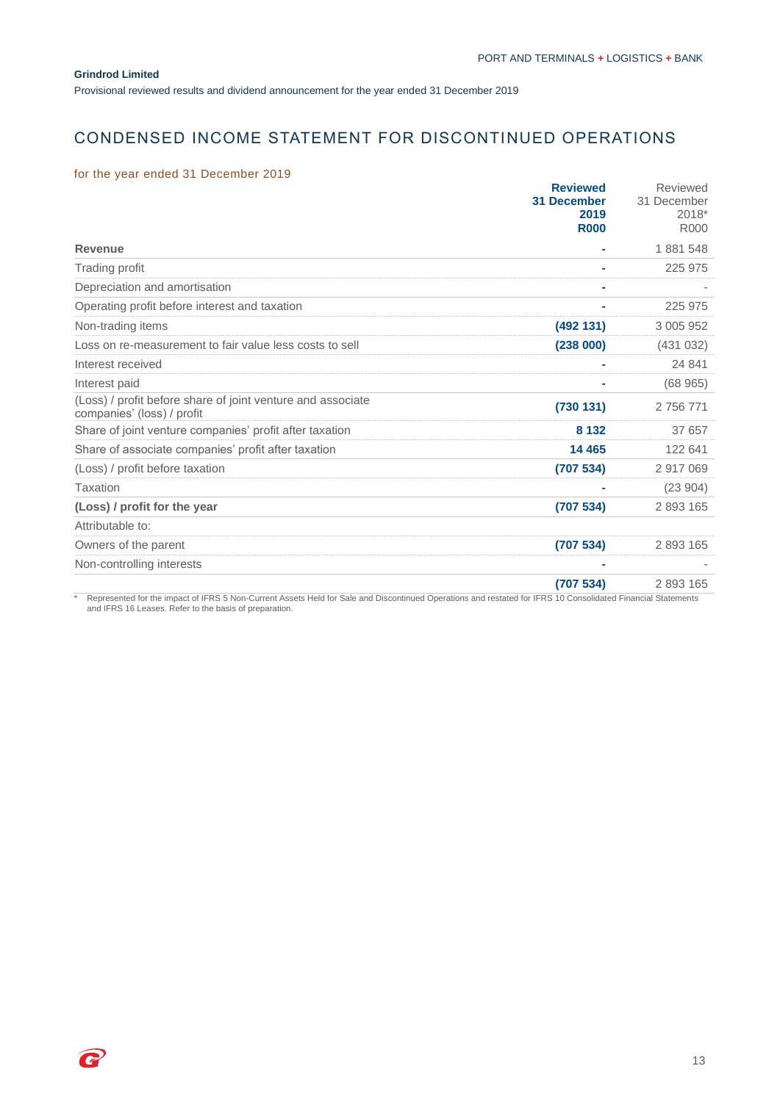2

Provisional reviewed results and dividend announcement for the year ended 31 December 2019

# CONDENSED INCOME STATEMENT FOR DISCONTINUED OPERATIONS

## for the year ended 31 December 2019

|                                                                                           | <b>Reviewed</b><br><b>31 December</b><br>2019<br><b>R000</b> | Reviewed<br>31 December<br>2018*<br>R000 |
|-------------------------------------------------------------------------------------------|--------------------------------------------------------------|------------------------------------------|
| <b>Revenue</b>                                                                            |                                                              | 1881548                                  |
| Trading profit                                                                            |                                                              | 225 975                                  |
| Depreciation and amortisation                                                             |                                                              |                                          |
| Operating profit before interest and taxation                                             |                                                              | 225 975                                  |
| Non-trading items                                                                         | (492 131)                                                    | 3 005 952                                |
| Loss on re-measurement to fair value less costs to sell                                   | (238000)                                                     | (431032)                                 |
| Interest received                                                                         |                                                              | 24 841                                   |
| Interest paid                                                                             |                                                              | (68965)                                  |
| (Loss) / profit before share of joint venture and associate<br>companies' (loss) / profit | (730131)                                                     | 2 756 771                                |
| Share of joint venture companies' profit after taxation                                   | 8 1 3 2                                                      | 37 657                                   |
| Share of associate companies' profit after taxation                                       | 14 4 65                                                      | 122 641                                  |
| (Loss) / profit before taxation                                                           | (707534)                                                     | 2917069                                  |
| Taxation                                                                                  |                                                              | (23904)                                  |
| (Loss) / profit for the year                                                              | (707534)                                                     | 2893165                                  |
| Attributable to:                                                                          |                                                              |                                          |
| Owners of the parent                                                                      | (707534)                                                     | 2893165                                  |
| Non-controlling interests                                                                 |                                                              |                                          |
|                                                                                           | (707534)                                                     | 2893165                                  |

\* Represented for the impact of IFRS 5 Non-Current Assets Held for Sale and Discontinued Operations and restated for IFRS 10 Consolidated Financial Statements and IFRS 16 Leases. Refer to the basis of preparation.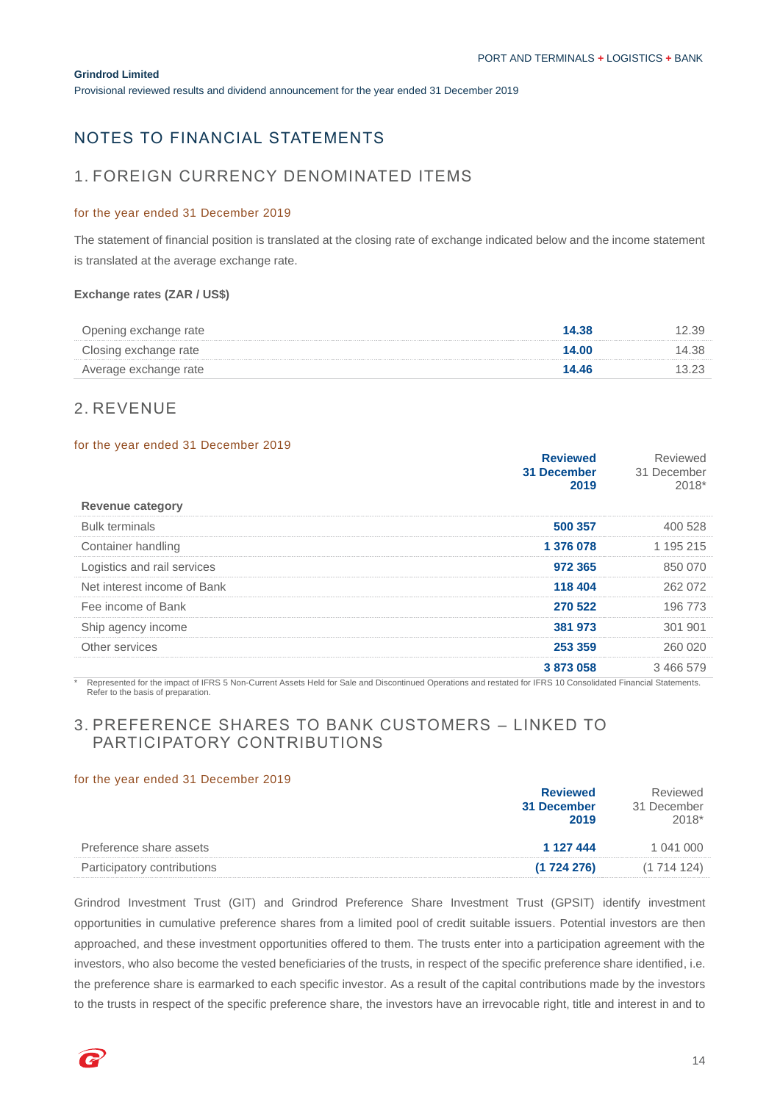Provisional reviewed results and dividend announcement for the year ended 31 December 2019

# NOTES TO FINANCIAL STATEMENTS

## 1. FOREIGN CURRENCY DENOMINATED ITEMS

#### for the year ended 31 December 2019

The statement of financial position is translated at the closing rate of exchange indicated below and the income statement is translated at the average exchange rate.

### **Exchange rates (ZAR / US\$)**

| Opening exchange rate | 14.38 | 12.39 |
|-----------------------|-------|-------|
| Closing exchange rate | 14.00 | 14.38 |
| Average exchange rate | 14.46 | 13.23 |

## 2. REVENUE

#### for the year ended 31 December 2019

| <b>Revenue category</b>     | <b>Reviewed</b><br>31 December<br>2019 | Reviewed<br>31 December<br>2018* |
|-----------------------------|----------------------------------------|----------------------------------|
|                             |                                        |                                  |
| <b>Bulk terminals</b>       | 500 357                                | 400 528                          |
| Container handling          | 1 376 078                              | 1 195 215                        |
| Logistics and rail services | 972 365                                | 850 070                          |
| Net interest income of Bank | 118 404                                | 262 072                          |
| Fee income of Bank          | 270 522                                | 196 773                          |
| Ship agency income          | 381 973                                | 301 901                          |
| Other services              | 253 359                                | 260 020                          |
|                             | 3873058                                | 3466579                          |

\* Represented for the impact of IFRS 5 Non-Current Assets Held for Sale and Discontinued Operations and restated for IFRS 10 Consolidated Financial Statements. Refer to the basis of preparation.

# 3. PREFERENCE SHARES TO BANK CUSTOMERS – LINKED TO PARTICIPATORY CONTRIBUTIONS

### for the year ended 31 December 2019

|                             | <b>Reviewed</b><br>31 December<br>2019 | Reviewed<br>31 December<br>$2018*$ |
|-----------------------------|----------------------------------------|------------------------------------|
| Preference share assets     | 1 127 444                              | 1 041 000                          |
| Participatory contributions | (1724276)                              | (1714124)                          |

Grindrod Investment Trust (GIT) and Grindrod Preference Share Investment Trust (GPSIT) identify investment opportunities in cumulative preference shares from a limited pool of credit suitable issuers. Potential investors are then approached, and these investment opportunities offered to them. The trusts enter into a participation agreement with the investors, who also become the vested beneficiaries of the trusts, in respect of the specific preference share identified, i.e. the preference share is earmarked to each specific investor. As a result of the capital contributions made by the investors to the trusts in respect of the specific preference share, the investors have an irrevocable right, title and interest in and to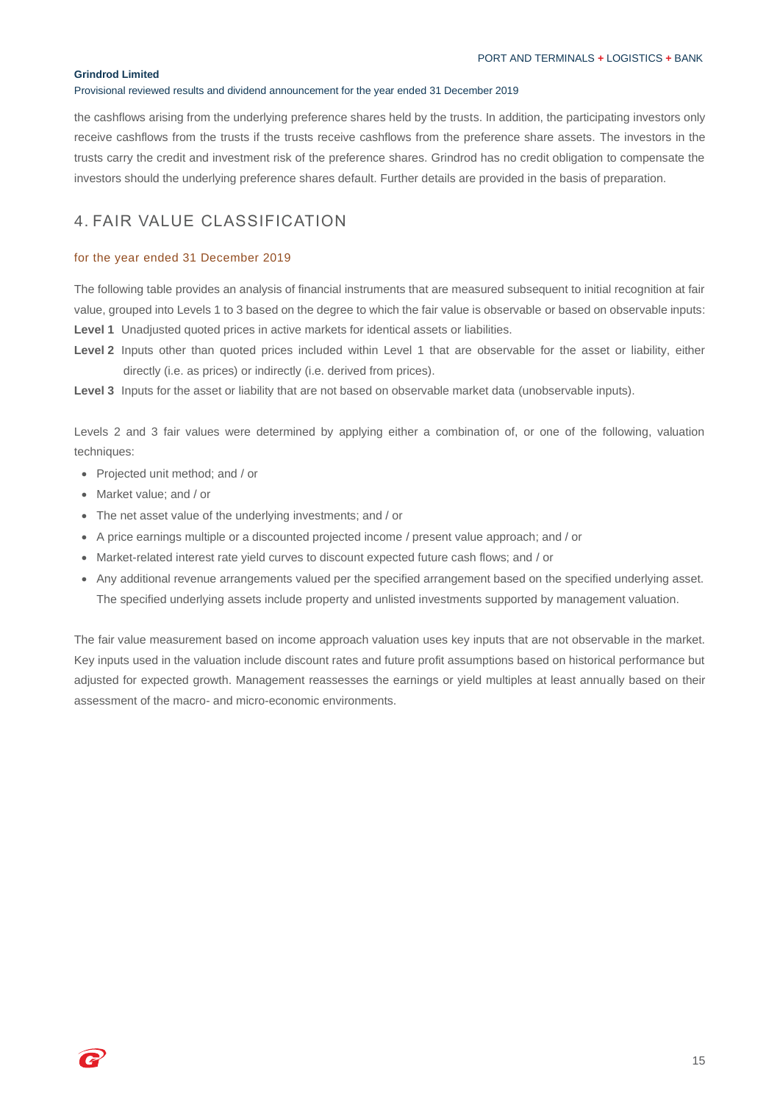#### Provisional reviewed results and dividend announcement for the year ended 31 December 2019

the cashflows arising from the underlying preference shares held by the trusts. In addition, the participating investors only receive cashflows from the trusts if the trusts receive cashflows from the preference share assets. The investors in the trusts carry the credit and investment risk of the preference shares. Grindrod has no credit obligation to compensate the investors should the underlying preference shares default. Further details are provided in the basis of preparation.

# 4. FAIR VALUE CLASSIFICATION

#### for the year ended 31 December 2019

The following table provides an analysis of financial instruments that are measured subsequent to initial recognition at fair value, grouped into Levels 1 to 3 based on the degree to which the fair value is observable or based on observable inputs: **Level 1** Unadjusted quoted prices in active markets for identical assets or liabilities.

Level 2 Inputs other than quoted prices included within Level 1 that are observable for the asset or liability, either directly (i.e. as prices) or indirectly (i.e. derived from prices).

**Level 3** Inputs for the asset or liability that are not based on observable market data (unobservable inputs).

Levels 2 and 3 fair values were determined by applying either a combination of, or one of the following, valuation techniques:

- Projected unit method; and / or
- Market value; and / or
- The net asset value of the underlying investments; and / or
- A price earnings multiple or a discounted projected income / present value approach; and / or
- Market-related interest rate yield curves to discount expected future cash flows; and / or
- Any additional revenue arrangements valued per the specified arrangement based on the specified underlying asset. The specified underlying assets include property and unlisted investments supported by management valuation.

The fair value measurement based on income approach valuation uses key inputs that are not observable in the market. Key inputs used in the valuation include discount rates and future profit assumptions based on historical performance but adjusted for expected growth. Management reassesses the earnings or yield multiples at least annually based on their assessment of the macro- and micro-economic environments.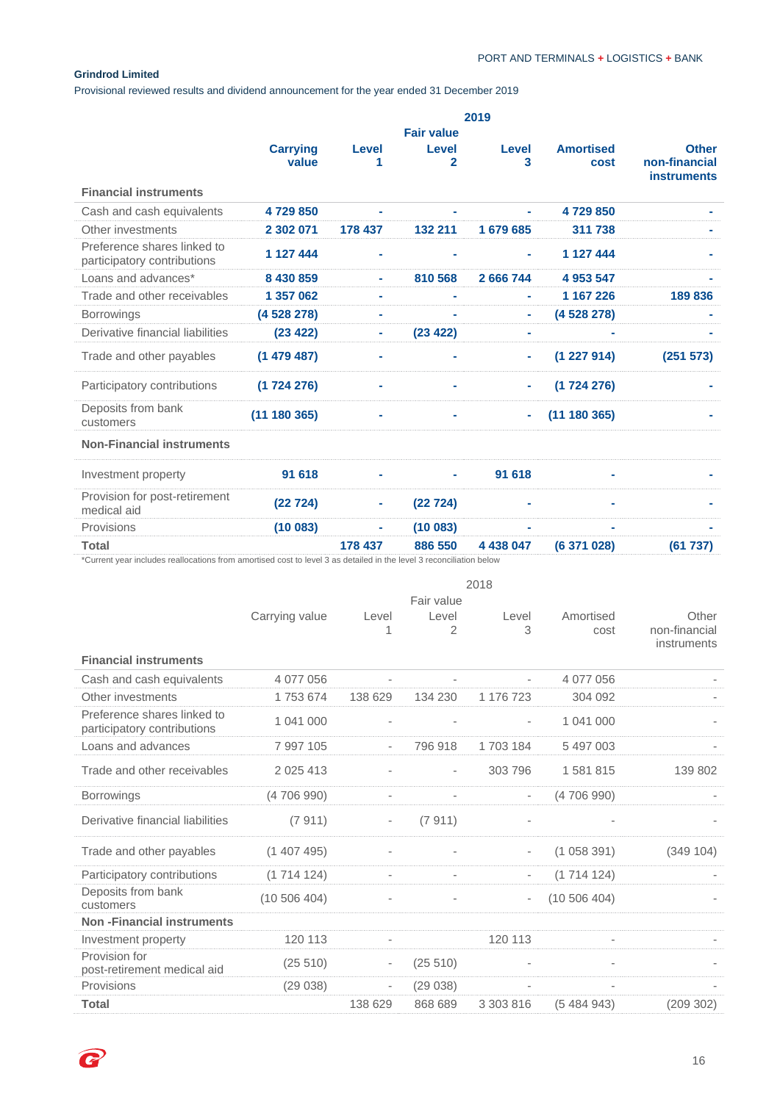Provisional reviewed results and dividend announcement for the year ended 31 December 2019

|         |                                                                                                                                                                                          | 2019      |                  |                               |
|---------|------------------------------------------------------------------------------------------------------------------------------------------------------------------------------------------|-----------|------------------|-------------------------------|
|         | <b>Fair value</b>                                                                                                                                                                        |           |                  |                               |
| Level   | Level                                                                                                                                                                                    | Level     | <b>Amortised</b> | <b>Other</b><br>non-financial |
|         |                                                                                                                                                                                          |           |                  | <b>instruments</b>            |
|         |                                                                                                                                                                                          |           |                  |                               |
| ۰       | ۰                                                                                                                                                                                        | ۰         | 4729850          |                               |
| 178 437 | 132 211                                                                                                                                                                                  | 1679685   | 311 738          |                               |
|         |                                                                                                                                                                                          |           | 1 127 444        |                               |
| ۰       | 810 568                                                                                                                                                                                  | 2 666 744 | 4 953 547        |                               |
| ٠       | ٠                                                                                                                                                                                        | ٠         | 1 167 226        | 189836                        |
| ۰       | ۰                                                                                                                                                                                        | ٠         | (4528278)        |                               |
| ۰       | (23 422)                                                                                                                                                                                 | ٠         |                  |                               |
| ۰       |                                                                                                                                                                                          | ٠         | (1227914)        | (251 573)                     |
|         |                                                                                                                                                                                          |           | (1724276)        |                               |
|         |                                                                                                                                                                                          | $\sim$    | (11180365)       |                               |
|         |                                                                                                                                                                                          |           |                  |                               |
|         |                                                                                                                                                                                          | 91 618    |                  |                               |
| ٠       | (22724)                                                                                                                                                                                  |           |                  |                               |
| ۰       | (10083)                                                                                                                                                                                  | ۰         |                  |                               |
| 178 437 | 886 550                                                                                                                                                                                  | 4 438 047 | (6 371 028)      | (61737)                       |
|         | <b>Carrying</b><br>value<br>4729850<br>2 302 071<br>1 127 444<br>8 430 859<br>1 357 062<br>(4528278)<br>(23 422)<br>(1479487)<br>(1724276)<br>(11180365)<br>91 618<br>(22724)<br>(10083) | 2         | 3                | cost                          |

\*Current year includes reallocations from amortised cost to level 3 as detailed in the level 3 reconciliation below

|                                                            | 2018           |                          |            |                          |                          |               |
|------------------------------------------------------------|----------------|--------------------------|------------|--------------------------|--------------------------|---------------|
|                                                            |                |                          | Fair value |                          |                          |               |
|                                                            | Carrying value | Level                    | Level      | Level                    | Amortised                | Other         |
|                                                            |                |                          | 2          | 3                        | cost                     | non-financial |
| <b>Financial instruments</b>                               |                |                          |            |                          |                          | instruments   |
|                                                            |                |                          |            |                          |                          |               |
| Cash and cash equivalents                                  | 4 077 056      |                          |            |                          | 4 077 056                |               |
| Other investments                                          | 1753674        | 138 629                  | 134 230    | 1 176 723                | 304 092                  |               |
| Preference shares linked to<br>participatory contributions | 1 041 000      |                          |            |                          | 1 041 000                |               |
| Loans and advances                                         | 7 997 105      | $\overline{\phantom{a}}$ | 796 918    | 1703184                  | 5 497 003                |               |
| Trade and other receivables                                | 2 0 2 5 4 1 3  |                          | $\sim$     | 303 796                  | 1581815                  | 139 802       |
| Borrowings                                                 | (4706990)      | $\overline{a}$           |            | $\overline{\phantom{a}}$ | (4706990)                |               |
| Derivative financial liabilities                           | (7911)         | $\overline{\phantom{a}}$ | (7911)     |                          |                          |               |
| Trade and other payables                                   | (1407495)      |                          |            | $\overline{\phantom{a}}$ | (1058391)                | (349 104)     |
| Participatory contributions                                | (1714124)      | $\overline{\phantom{a}}$ | $\sim$     | $\overline{\phantom{a}}$ | (1714124)                |               |
| Deposits from bank<br>customers                            | (10506404)     |                          |            | $\overline{\phantom{a}}$ | (10506404)               |               |
| <b>Non-Financial instruments</b>                           |                |                          |            |                          |                          |               |
| Investment property                                        | 120 113        | $\overline{\phantom{a}}$ |            | 120 113                  | $\overline{\phantom{a}}$ |               |
| Provision for<br>post-retirement medical aid               | (25 510)       | $\overline{\phantom{a}}$ | (25 510)   | $\overline{a}$           | $\overline{\phantom{a}}$ |               |
| Provisions                                                 | (29038)        | $\overline{\phantom{a}}$ | (29038)    | $\overline{\phantom{a}}$ | $\overline{\phantom{a}}$ |               |
| <b>Total</b>                                               |                | 138 629                  | 868 689    | 3 303 816                | (5484943)                | (209 302)     |

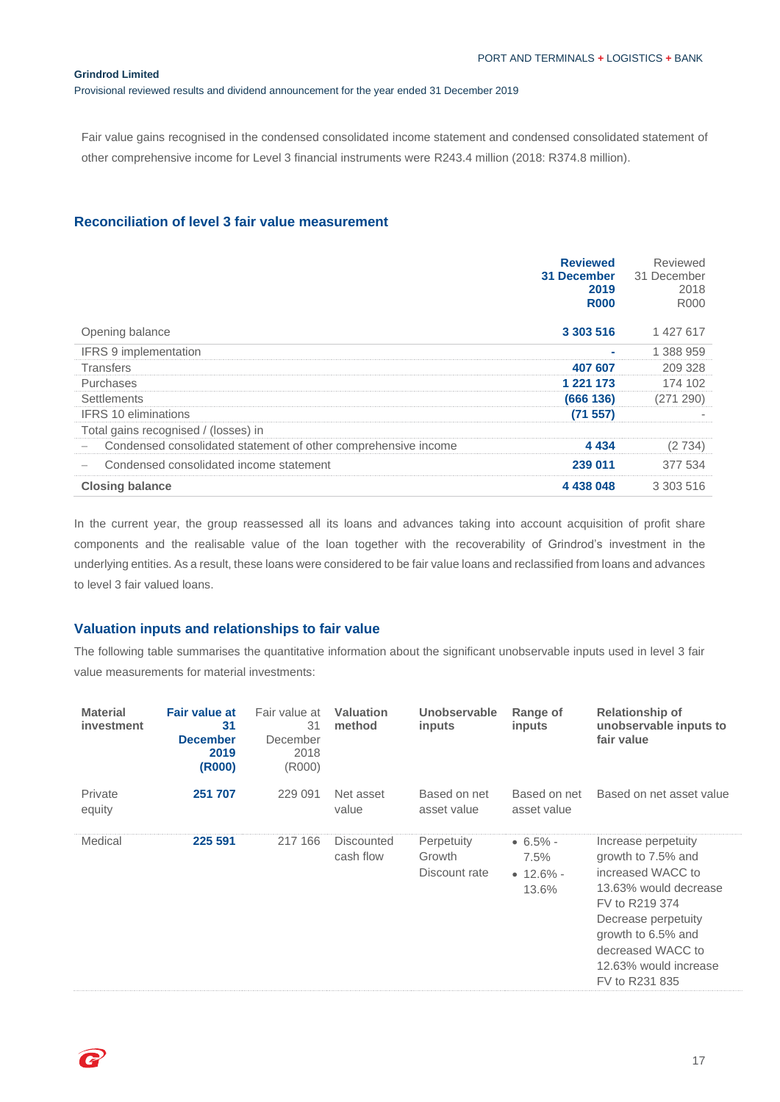Provisional reviewed results and dividend announcement for the year ended 31 December 2019

Fair value gains recognised in the condensed consolidated income statement and condensed consolidated statement of other comprehensive income for Level 3 financial instruments were R243.4 million (2018: R374.8 million).

## **Reconciliation of level 3 fair value measurement**

|                                                                | <b>Reviewed</b><br>31 December<br>2019<br><b>R000</b> | Reviewed<br>31 December<br>2018<br><b>R000</b> |
|----------------------------------------------------------------|-------------------------------------------------------|------------------------------------------------|
| Opening balance                                                | 3 303 516                                             | 1 427 617                                      |
| <b>IFRS 9 implementation</b>                                   | ÷                                                     | 1 388 959                                      |
| Transfers                                                      | 407 607                                               | 209 328                                        |
| Purchases                                                      | 1 2 2 1 1 7 3                                         | 174 102                                        |
| <b>Settlements</b>                                             | (666 136)                                             | (271 290)                                      |
| <b>IFRS 10 eliminations</b>                                    | (71 557)                                              |                                                |
| Total gains recognised / (losses) in                           |                                                       |                                                |
| Condensed consolidated statement of other comprehensive income | 4 4 3 4                                               | (2734)                                         |
| Condensed consolidated income statement                        | 239 011                                               | 377 534                                        |
| <b>Closing balance</b>                                         | 4 438 048                                             | 3 303 516                                      |

In the current year, the group reassessed all its loans and advances taking into account acquisition of profit share components and the realisable value of the loan together with the recoverability of Grindrod's investment in the underlying entities. As a result, these loans were considered to be fair value loans and reclassified from loans and advances to level 3 fair valued loans.

## **Valuation inputs and relationships to fair value**

The following table summarises the quantitative information about the significant unobservable inputs used in level 3 fair value measurements for material investments:

| <b>Material</b><br>investment | <b>Fair value at</b><br>31<br><b>December</b><br>2019<br>(R000) | Fair value at<br>31<br>December<br>2018<br>(R000) | <b>Valuation</b><br>method     | Unobservable<br>inputs                | Range of<br>inputs                                | <b>Relationship of</b><br>unobservable inputs to<br>fair value                                                                                                                                                         |
|-------------------------------|-----------------------------------------------------------------|---------------------------------------------------|--------------------------------|---------------------------------------|---------------------------------------------------|------------------------------------------------------------------------------------------------------------------------------------------------------------------------------------------------------------------------|
| Private<br>equity             | 251 707                                                         | 229 091                                           | Net asset<br>value             | Based on net<br>asset value           | Based on net<br>asset value                       | Based on net asset value                                                                                                                                                                                               |
| Medical                       | 225 591                                                         | 217 166                                           | <b>Discounted</b><br>cash flow | Perpetuity<br>Growth<br>Discount rate | $• 6.5\%$ -<br>7.5%<br>$\bullet$ 12.6% -<br>13.6% | Increase perpetuity<br>growth to 7.5% and<br>increased WACC to<br>13.63% would decrease<br>FV to R219 374<br>Decrease perpetuity<br>growth to 6.5% and<br>decreased WACC to<br>12.63% would increase<br>FV to R231 835 |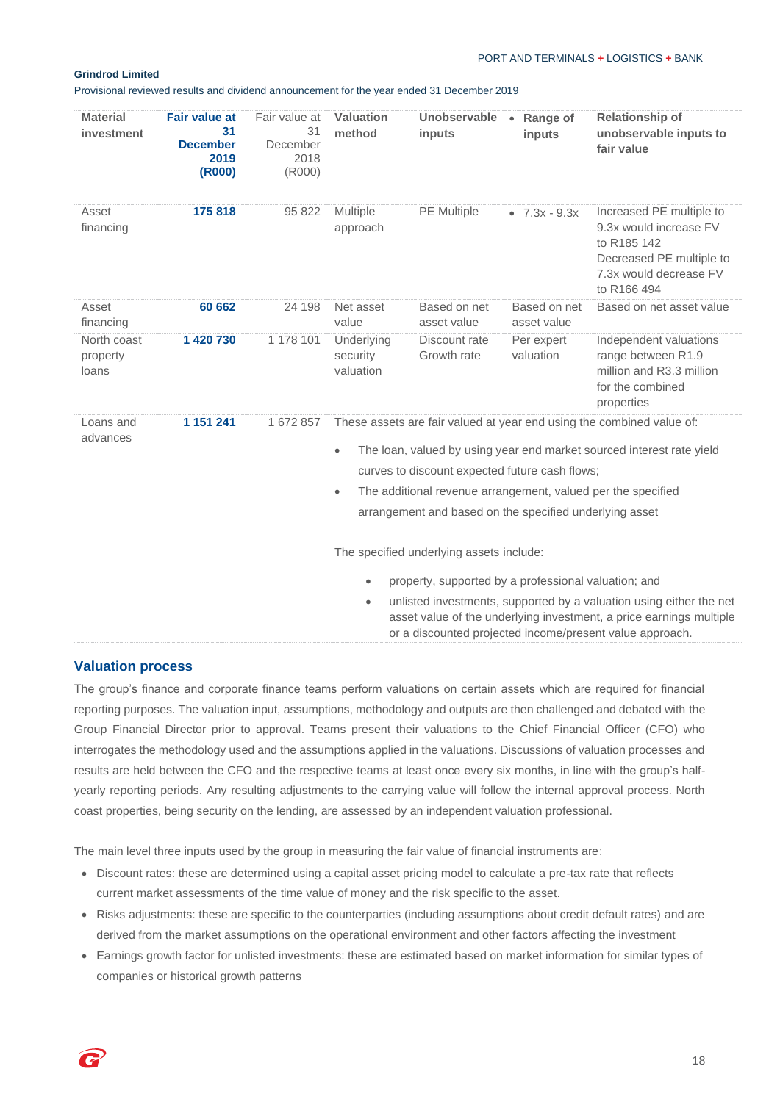Provisional reviewed results and dividend announcement for the year ended 31 December 2019

| <b>Material</b><br>investment    | <b>Fair value at</b><br>31<br><b>December</b><br>2019<br>(R000) | Fair value at<br>31<br>December<br>2018<br>(R000) | Valuation<br>method                                                                                                                                                                                                                                                         | Unobservable • Range of<br>inputs                       | inputs                      | <b>Relationship of</b><br>unobservable inputs to<br>fair value                                                                         |  |  |
|----------------------------------|-----------------------------------------------------------------|---------------------------------------------------|-----------------------------------------------------------------------------------------------------------------------------------------------------------------------------------------------------------------------------------------------------------------------------|---------------------------------------------------------|-----------------------------|----------------------------------------------------------------------------------------------------------------------------------------|--|--|
| Asset<br>financing               | 175 818                                                         | 95 822                                            | Multiple<br>approach                                                                                                                                                                                                                                                        | PE Multiple                                             | • $7.3x - 9.3x$             | Increased PE multiple to<br>9.3x would increase FV<br>to R185 142<br>Decreased PE multiple to<br>7.3x would decrease FV<br>to R166 494 |  |  |
| Asset<br>financing               | 60 662                                                          | 24 198                                            | Net asset<br>value                                                                                                                                                                                                                                                          | Based on net<br>asset value                             | Based on net<br>asset value | Based on net asset value                                                                                                               |  |  |
| North coast<br>property<br>loans | 1 420 730                                                       | 1 178 101                                         | Underlying<br>security<br>valuation                                                                                                                                                                                                                                         | Discount rate<br>Growth rate                            | Per expert<br>valuation     | Independent valuations<br>range between R1.9<br>million and R3.3 million<br>for the combined<br>properties                             |  |  |
| Loans and<br>advances            | 1 151 241                                                       | 1 672 857                                         |                                                                                                                                                                                                                                                                             |                                                         |                             | These assets are fair valued at year end using the combined value of:                                                                  |  |  |
|                                  |                                                                 |                                                   | $\bullet$                                                                                                                                                                                                                                                                   |                                                         |                             | The loan, valued by using year end market sourced interest rate yield                                                                  |  |  |
|                                  |                                                                 |                                                   |                                                                                                                                                                                                                                                                             | curves to discount expected future cash flows;          |                             |                                                                                                                                        |  |  |
|                                  |                                                                 |                                                   | $\bullet$                                                                                                                                                                                                                                                                   |                                                         |                             | The additional revenue arrangement, valued per the specified                                                                           |  |  |
|                                  |                                                                 |                                                   |                                                                                                                                                                                                                                                                             | arrangement and based on the specified underlying asset |                             |                                                                                                                                        |  |  |
|                                  |                                                                 |                                                   | The specified underlying assets include:                                                                                                                                                                                                                                    |                                                         |                             |                                                                                                                                        |  |  |
|                                  |                                                                 |                                                   | $\bullet$                                                                                                                                                                                                                                                                   |                                                         |                             |                                                                                                                                        |  |  |
|                                  |                                                                 |                                                   | property, supported by a professional valuation; and<br>unlisted investments, supported by a valuation using either the net<br>$\bullet$<br>asset value of the underlying investment, a price earnings multiple<br>or a discounted projected income/present value approach. |                                                         |                             |                                                                                                                                        |  |  |

## **Valuation process**

The group's finance and corporate finance teams perform valuations on certain assets which are required for financial reporting purposes. The valuation input, assumptions, methodology and outputs are then challenged and debated with the Group Financial Director prior to approval. Teams present their valuations to the Chief Financial Officer (CFO) who interrogates the methodology used and the assumptions applied in the valuations. Discussions of valuation processes and results are held between the CFO and the respective teams at least once every six months, in line with the group's halfyearly reporting periods. Any resulting adjustments to the carrying value will follow the internal approval process. North coast properties, being security on the lending, are assessed by an independent valuation professional.

The main level three inputs used by the group in measuring the fair value of financial instruments are:

- Discount rates: these are determined using a capital asset pricing model to calculate a pre-tax rate that reflects current market assessments of the time value of money and the risk specific to the asset.
- Risks adjustments: these are specific to the counterparties (including assumptions about credit default rates) and are derived from the market assumptions on the operational environment and other factors affecting the investment
- Earnings growth factor for unlisted investments: these are estimated based on market information for similar types of companies or historical growth patterns

18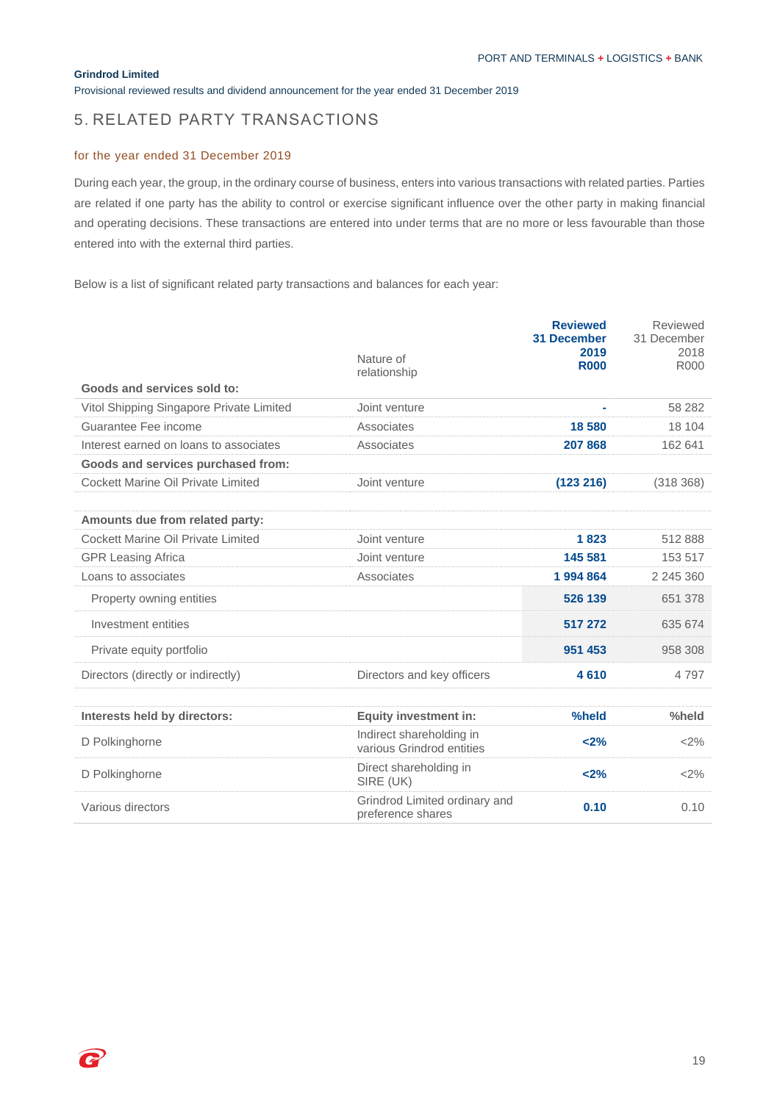Provisional reviewed results and dividend announcement for the year ended 31 December 2019

# 5. RELATED PARTY TRANSACTIONS

## for the year ended 31 December 2019

During each year, the group, in the ordinary course of business, enters into various transactions with related parties. Parties are related if one party has the ability to control or exercise significant influence over the other party in making financial and operating decisions. These transactions are entered into under terms that are no more or less favourable than those entered into with the external third parties.

Below is a list of significant related party transactions and balances for each year:

|                                          | Nature of<br>relationship                             | <b>Reviewed</b><br><b>31 December</b><br>2019<br><b>R000</b> | Reviewed<br>31 December<br>2018<br>R000 |
|------------------------------------------|-------------------------------------------------------|--------------------------------------------------------------|-----------------------------------------|
| Goods and services sold to:              |                                                       |                                                              |                                         |
| Vitol Shipping Singapore Private Limited | Joint venture                                         | $\blacksquare$                                               | 58 282                                  |
| Guarantee Fee income                     | Associates                                            | 18 580                                                       | 18 104                                  |
| Interest earned on loans to associates   | Associates                                            | 207 868                                                      | 162 641                                 |
| Goods and services purchased from:       |                                                       |                                                              |                                         |
| Cockett Marine Oil Private Limited       | Joint venture                                         | (123 216)                                                    | (318368)                                |
|                                          |                                                       |                                                              |                                         |
| Amounts due from related party:          |                                                       |                                                              |                                         |
| Cockett Marine Oil Private Limited       | Joint venture                                         | 1823                                                         | 512888                                  |
| <b>GPR Leasing Africa</b>                | Joint venture                                         | 145 581                                                      | 153 517                                 |
| Loans to associates                      | Associates                                            | 1994864                                                      | 2 245 360                               |
| Property owning entities                 |                                                       | 526 139                                                      | 651 378                                 |
| Investment entities                      |                                                       | 517 272                                                      | 635 674                                 |
| Private equity portfolio                 |                                                       | 951 453                                                      | 958 308                                 |
| Directors (directly or indirectly)       | Directors and key officers                            | 4610                                                         | 4 7 9 7                                 |
|                                          |                                                       |                                                              |                                         |
| Interests held by directors:             | <b>Equity investment in:</b>                          | %held                                                        | %held                                   |
| D Polkinghorne                           | Indirect shareholding in<br>various Grindrod entities | < 2%                                                         | <2%                                     |
| D Polkinghorne                           | Direct shareholding in<br>SIRE (UK)                   | < 2%                                                         | <2%                                     |
| Various directors                        | Grindrod Limited ordinary and<br>preference shares    | 0.10                                                         | 0.10                                    |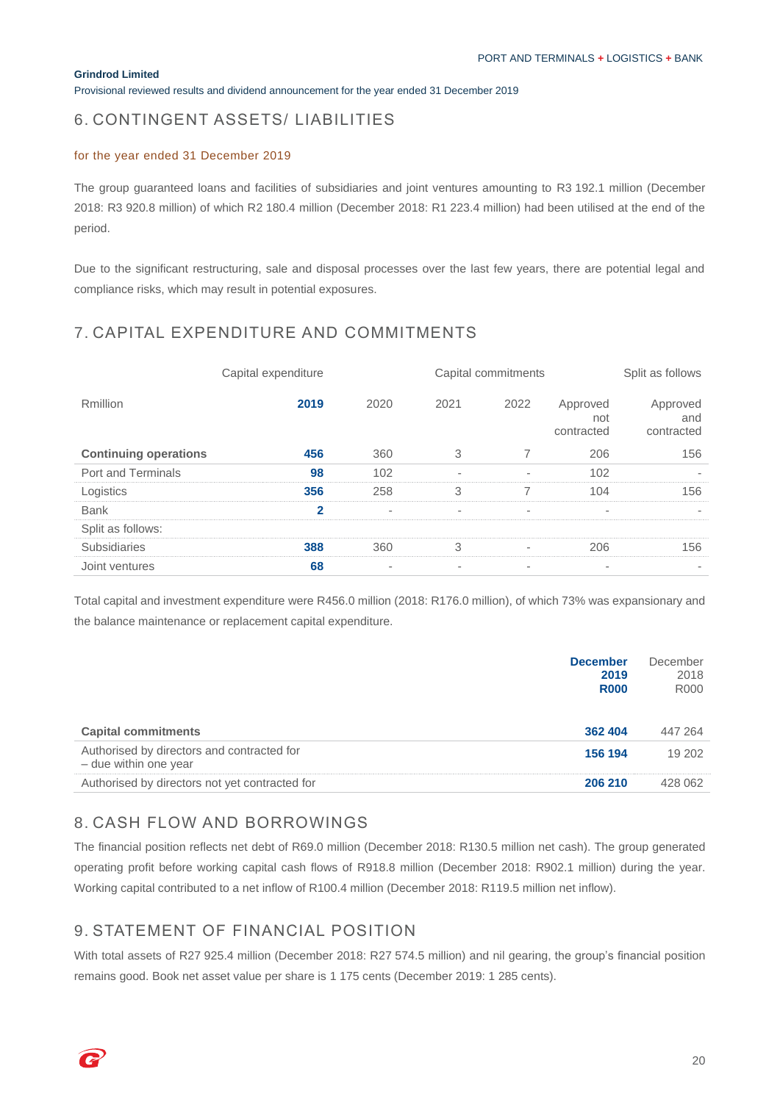Provisional reviewed results and dividend announcement for the year ended 31 December 2019

# 6. CONTINGENT ASSETS/ LIABILITIES

### for the year ended 31 December 2019

The group guaranteed loans and facilities of subsidiaries and joint ventures amounting to R3 192.1 million (December 2018: R3 920.8 million) of which R2 180.4 million (December 2018: R1 223.4 million) had been utilised at the end of the period.

Due to the significant restructuring, sale and disposal processes over the last few years, there are potential legal and compliance risks, which may result in potential exposures.

# 7. CAPITAL EXPENDITURE AND COMMITMENTS

|                              |                | Capital commitments      |                          |                          | Split as follows              |                               |
|------------------------------|----------------|--------------------------|--------------------------|--------------------------|-------------------------------|-------------------------------|
| <b>Rmillion</b>              | 2019           | 2020                     | 2021                     | 2022                     | Approved<br>not<br>contracted | Approved<br>and<br>contracted |
| <b>Continuing operations</b> | 456            | 360                      | 3                        | 7                        | 206                           | 156                           |
| Port and Terminals           | 98             | 102                      | $\overline{\phantom{a}}$ | $\overline{\phantom{a}}$ | 102                           |                               |
| Logistics                    | 356            | 258                      | 3                        | 7                        | 104                           | 156                           |
| <b>Bank</b>                  | $\overline{2}$ | ٠                        | $\overline{\phantom{a}}$ | $\overline{\phantom{a}}$ | ٠.                            |                               |
| Split as follows:            |                |                          |                          |                          |                               |                               |
| Subsidiaries                 | 388            | 360                      | 3                        | $\overline{\phantom{a}}$ | 206                           | 156                           |
| Joint ventures               | 68             | $\overline{\phantom{a}}$ | $\overline{\phantom{a}}$ | $\overline{\phantom{a}}$ | $\overline{\phantom{a}}$      |                               |

Total capital and investment expenditure were R456.0 million (2018: R176.0 million), of which 73% was expansionary and the balance maintenance or replacement capital expenditure.

|                                                                     | <b>December</b><br>2019<br><b>R000</b> | December<br>2018<br><b>R000</b> |
|---------------------------------------------------------------------|----------------------------------------|---------------------------------|
| <b>Capital commitments</b>                                          | 362 404                                | 447 264                         |
| Authorised by directors and contracted for<br>- due within one year | 156 194                                | 19 202                          |
| Authorised by directors not yet contracted for                      | 206 210                                | 428 062                         |

# 8. CASH FLOW AND BORROWINGS

The financial position reflects net debt of R69.0 million (December 2018: R130.5 million net cash). The group generated operating profit before working capital cash flows of R918.8 million (December 2018: R902.1 million) during the year. Working capital contributed to a net inflow of R100.4 million (December 2018: R119.5 million net inflow).

# 9. STATEMENT OF FINANCIAL POSITION

With total assets of R27 925.4 million (December 2018: R27 574.5 million) and nil gearing, the group's financial position remains good. Book net asset value per share is 1 175 cents (December 2019: 1 285 cents).

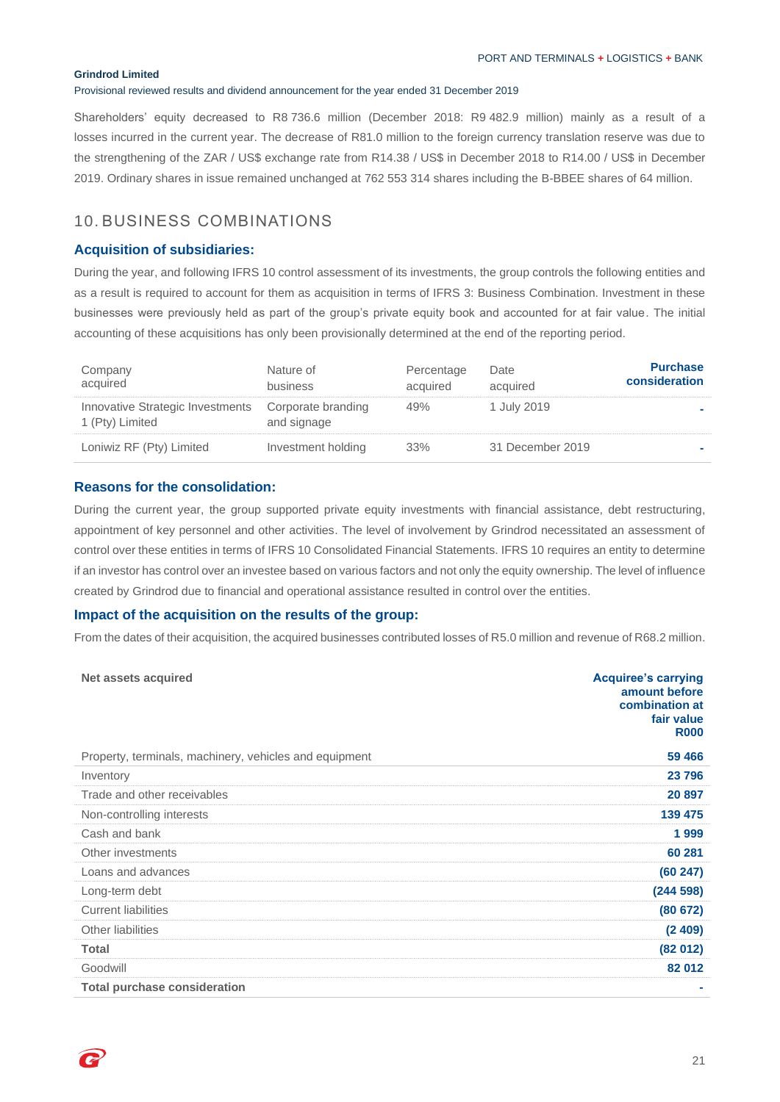Provisional reviewed results and dividend announcement for the year ended 31 December 2019

Shareholders' equity decreased to R8 736.6 million (December 2018: R9 482.9 million) mainly as a result of a losses incurred in the current year. The decrease of R81.0 million to the foreign currency translation reserve was due to the strengthening of the ZAR / US\$ exchange rate from R14.38 / US\$ in December 2018 to R14.00 / US\$ in December 2019. Ordinary shares in issue remained unchanged at 762 553 314 shares including the B-BBEE shares of 64 million.

# 10. BUSINESS COMBINATIONS

## **Acquisition of subsidiaries:**

During the year, and following IFRS 10 control assessment of its investments, the group controls the following entities and as a result is required to account for them as acquisition in terms of IFRS 3: Business Combination. Investment in these businesses were previously held as part of the group's private equity book and accounted for at fair value. The initial accounting of these acquisitions has only been provisionally determined at the end of the reporting period.

| Company<br>acquired                                 | Nature of<br>business             | Percentage<br>acquired | Date<br>acquired | <b>Purchase</b><br>consideration |
|-----------------------------------------------------|-----------------------------------|------------------------|------------------|----------------------------------|
| Innovative Strategic Investments<br>1 (Pty) Limited | Corporate branding<br>and signage | 49%                    | 1 July 2019      |                                  |
| Loniwiz RF (Pty) Limited                            | Investment holding                | 33%                    | 31 December 2019 |                                  |

## **Reasons for the consolidation:**

During the current year, the group supported private equity investments with financial assistance, debt restructuring, appointment of key personnel and other activities. The level of involvement by Grindrod necessitated an assessment of control over these entities in terms of IFRS 10 Consolidated Financial Statements. IFRS 10 requires an entity to determine if an investor has control over an investee based on various factors and not only the equity ownership. The level of influence created by Grindrod due to financial and operational assistance resulted in control over the entities.

### **Impact of the acquisition on the results of the group:**

From the dates of their acquisition, the acquired businesses contributed losses of R5.0 million and revenue of R68.2 million.

| Net assets acquired                                    | <b>Acquiree's carrying</b><br>amount before<br>combination at<br>fair value<br><b>R000</b> |
|--------------------------------------------------------|--------------------------------------------------------------------------------------------|
| Property, terminals, machinery, vehicles and equipment | 59 466                                                                                     |
| Inventory                                              | 23 796                                                                                     |
| Trade and other receivables                            | 20 897                                                                                     |
| Non-controlling interests                              | 139 475                                                                                    |
| Cash and bank                                          | 1999                                                                                       |
| Other investments                                      | 60 281                                                                                     |
| Loans and advances                                     | (60247)                                                                                    |
| Long-term debt                                         | (244598)                                                                                   |
| <b>Current liabilities</b>                             | (80672)                                                                                    |
| Other liabilities                                      | (2409)                                                                                     |
| Total                                                  | (82012)                                                                                    |
| Goodwill                                               | 82 012                                                                                     |
| <b>Total purchase consideration</b>                    |                                                                                            |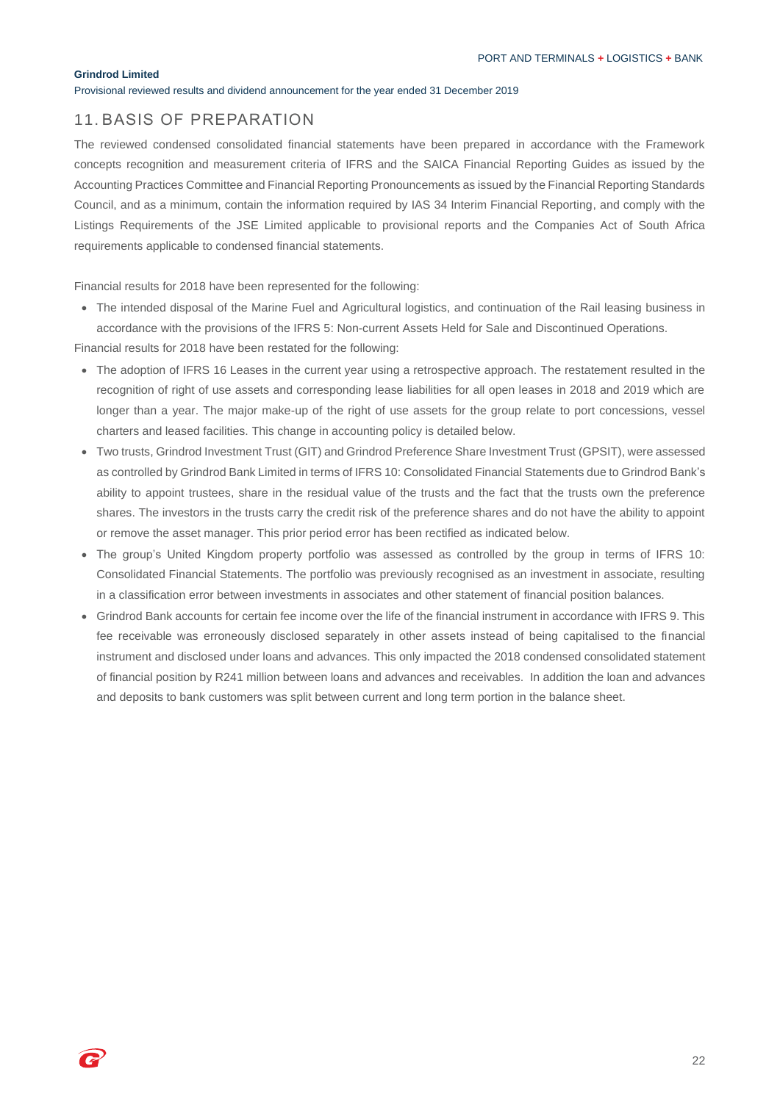Provisional reviewed results and dividend announcement for the year ended 31 December 2019

## 11. BASIS OF PREPARATION

The reviewed condensed consolidated financial statements have been prepared in accordance with the Framework concepts recognition and measurement criteria of IFRS and the SAICA Financial Reporting Guides as issued by the Accounting Practices Committee and Financial Reporting Pronouncements as issued by the Financial Reporting Standards Council, and as a minimum, contain the information required by IAS 34 Interim Financial Reporting, and comply with the Listings Requirements of the JSE Limited applicable to provisional reports and the Companies Act of South Africa requirements applicable to condensed financial statements.

Financial results for 2018 have been represented for the following:

• The intended disposal of the Marine Fuel and Agricultural logistics, and continuation of the Rail leasing business in accordance with the provisions of the IFRS 5: Non-current Assets Held for Sale and Discontinued Operations.

Financial results for 2018 have been restated for the following:

- The adoption of IFRS 16 Leases in the current year using a retrospective approach. The restatement resulted in the recognition of right of use assets and corresponding lease liabilities for all open leases in 2018 and 2019 which are longer than a year. The major make-up of the right of use assets for the group relate to port concessions, vessel charters and leased facilities. This change in accounting policy is detailed below.
- Two trusts, Grindrod Investment Trust (GIT) and Grindrod Preference Share Investment Trust (GPSIT), were assessed as controlled by Grindrod Bank Limited in terms of IFRS 10: Consolidated Financial Statements due to Grindrod Bank's ability to appoint trustees, share in the residual value of the trusts and the fact that the trusts own the preference shares. The investors in the trusts carry the credit risk of the preference shares and do not have the ability to appoint or remove the asset manager. This prior period error has been rectified as indicated below.
- The group's United Kingdom property portfolio was assessed as controlled by the group in terms of IFRS 10: Consolidated Financial Statements. The portfolio was previously recognised as an investment in associate, resulting in a classification error between investments in associates and other statement of financial position balances.
- Grindrod Bank accounts for certain fee income over the life of the financial instrument in accordance with IFRS 9. This fee receivable was erroneously disclosed separately in other assets instead of being capitalised to the financial instrument and disclosed under loans and advances. This only impacted the 2018 condensed consolidated statement of financial position by R241 million between loans and advances and receivables. In addition the loan and advances and deposits to bank customers was split between current and long term portion in the balance sheet.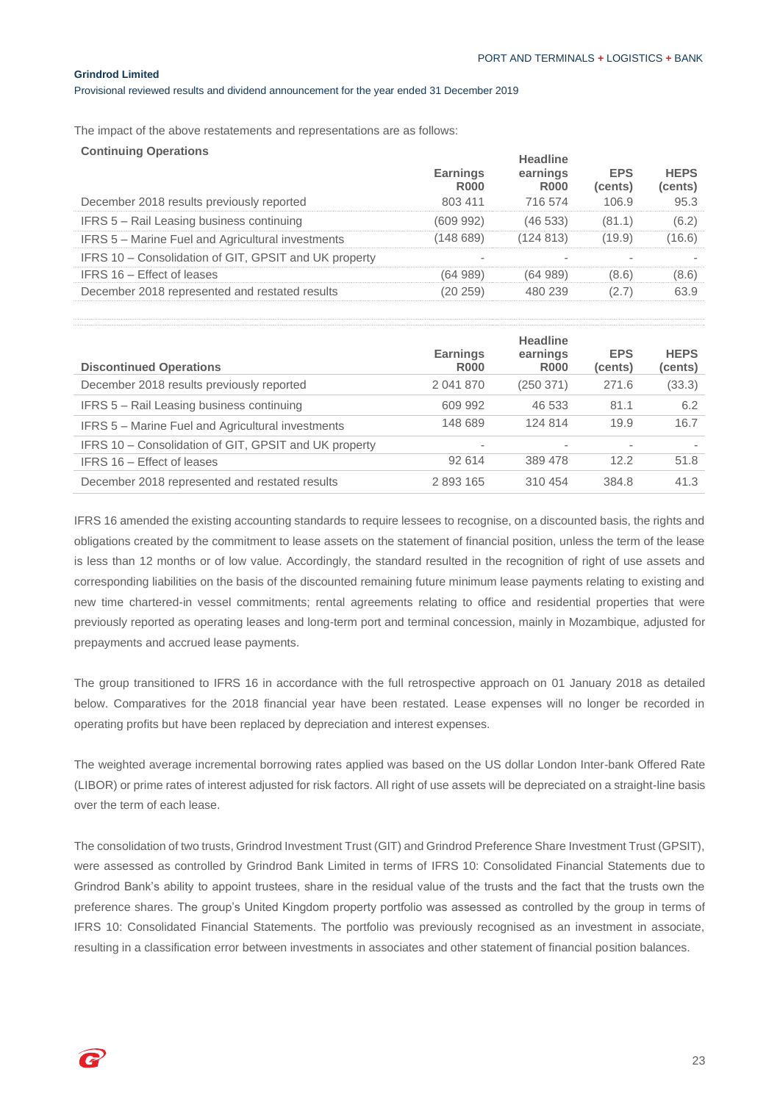Provisional reviewed results and dividend announcement for the year ended 31 December 2019

The impact of the above restatements and representations are as follows:

| <b>Continuing Operations</b>                          | <b>Earnings</b><br><b>R000</b> | <b>Headline</b><br>earnings<br><b>R000</b> | <b>EPS</b><br>(cents) | <b>HEPS</b><br>(cents) |
|-------------------------------------------------------|--------------------------------|--------------------------------------------|-----------------------|------------------------|
| December 2018 results previously reported             | 803 411                        | 716 574                                    | 106.9                 | 95.3                   |
| IFRS 5 - Rail Leasing business continuing             | (609992)                       | (46 533)                                   | (81.1)                | (6.2)                  |
| IFRS 5 – Marine Fuel and Agricultural investments     | (148689)                       | (124813)                                   | (19.9)                | (16.6)                 |
| IFRS 10 – Consolidation of GIT, GPSIT and UK property | $\overline{\phantom{a}}$       |                                            |                       |                        |
| IFRS 16 – Effect of leases                            | (64989)                        | (64989)                                    | (8.6)                 | (8.6)                  |
| December 2018 represented and restated results        | (20 259)                       | 480 239                                    | (2.7)                 | 63.9                   |
|                                                       |                                |                                            |                       |                        |

| <b>Discontinued Operations</b>                           | <b>Earnings</b><br><b>R000</b> | <b>Headline</b><br>earnings<br><b>R000</b> | <b>EPS</b><br>(cents) | <b>HEPS</b><br>(cents) |
|----------------------------------------------------------|--------------------------------|--------------------------------------------|-----------------------|------------------------|
| December 2018 results previously reported                | 2 041 870                      | (250371)                                   | 271.6                 | (33.3)                 |
| IFRS 5 - Rail Leasing business continuing                | 609 992                        | 46 533                                     | 81.1                  | 6.2                    |
| <b>IFRS 5 – Marine Fuel and Agricultural investments</b> | 148 689                        | 124 814                                    | 19.9                  | 16.7                   |
| IFRS 10 – Consolidation of GIT, GPSIT and UK property    | ٠                              | $\,$                                       |                       |                        |
| IFRS 16 – Effect of leases                               | 92 614                         | 389 478                                    | 12.2                  | 51.8                   |
| December 2018 represented and restated results           | 2 893 165                      | 310 454                                    | 384.8                 | 41.3                   |

IFRS 16 amended the existing accounting standards to require lessees to recognise, on a discounted basis, the rights and obligations created by the commitment to lease assets on the statement of financial position, unless the term of the lease is less than 12 months or of low value. Accordingly, the standard resulted in the recognition of right of use assets and corresponding liabilities on the basis of the discounted remaining future minimum lease payments relating to existing and new time chartered-in vessel commitments; rental agreements relating to office and residential properties that were previously reported as operating leases and long-term port and terminal concession, mainly in Mozambique, adjusted for prepayments and accrued lease payments.

The group transitioned to IFRS 16 in accordance with the full retrospective approach on 01 January 2018 as detailed below. Comparatives for the 2018 financial year have been restated. Lease expenses will no longer be recorded in operating profits but have been replaced by depreciation and interest expenses.

The weighted average incremental borrowing rates applied was based on the US dollar London Inter-bank Offered Rate (LIBOR) or prime rates of interest adjusted for risk factors. All right of use assets will be depreciated on a straight-line basis over the term of each lease.

The consolidation of two trusts, Grindrod Investment Trust (GIT) and Grindrod Preference Share Investment Trust (GPSIT), were assessed as controlled by Grindrod Bank Limited in terms of IFRS 10: Consolidated Financial Statements due to Grindrod Bank's ability to appoint trustees, share in the residual value of the trusts and the fact that the trusts own the preference shares. The group's United Kingdom property portfolio was assessed as controlled by the group in terms of IFRS 10: Consolidated Financial Statements. The portfolio was previously recognised as an investment in associate, resulting in a classification error between investments in associates and other statement of financial position balances.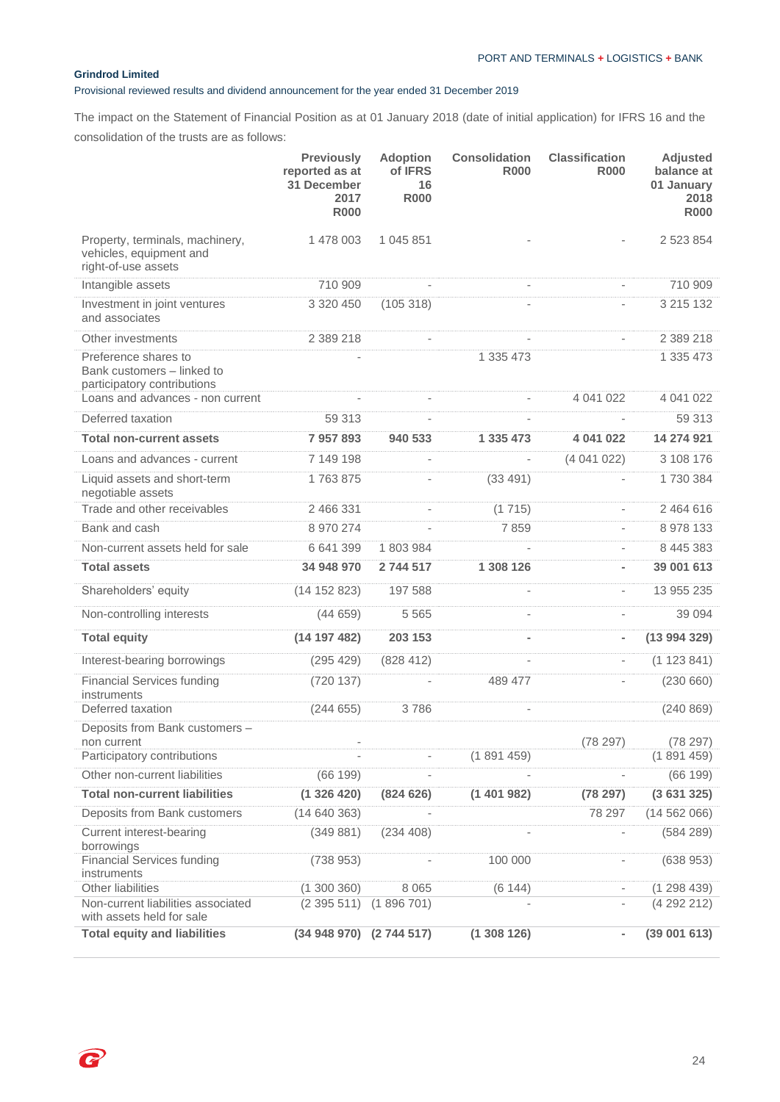P

## Provisional reviewed results and dividend announcement for the year ended 31 December 2019

The impact on the Statement of Financial Position as at 01 January 2018 (date of initial application) for IFRS 16 and the consolidation of the trusts are as follows:

|                                                                                   | <b>Previously</b><br>reported as at<br>31 December<br>2017<br><b>R000</b> | <b>Adoption</b><br>of IFRS<br>16<br><b>R000</b> | <b>Consolidation</b><br><b>R000</b> | <b>Classification</b><br><b>R000</b> | <b>Adjusted</b><br>balance at<br>01 January<br>2018<br><b>R000</b> |
|-----------------------------------------------------------------------------------|---------------------------------------------------------------------------|-------------------------------------------------|-------------------------------------|--------------------------------------|--------------------------------------------------------------------|
| Property, terminals, machinery,<br>vehicles, equipment and<br>right-of-use assets | 1 478 003                                                                 | 1 045 851                                       |                                     |                                      | 2 523 854                                                          |
| Intangible assets                                                                 | 710 909                                                                   | $\bar{ }$                                       | $\overline{\phantom{a}}$            | $\overline{\phantom{a}}$             | 710 909                                                            |
| Investment in joint ventures<br>and associates                                    | 3 320 450                                                                 | (105318)                                        |                                     | L,                                   | 3 215 132                                                          |
| Other investments                                                                 | 2 389 218                                                                 | $\frac{1}{2}$                                   | L,                                  | $\overline{\phantom{a}}$             | 2 389 218                                                          |
| Preference shares to<br>Bank customers - linked to<br>participatory contributions |                                                                           |                                                 | 1 335 473                           |                                      | 1 335 473                                                          |
| Loans and advances - non current                                                  |                                                                           | $\overline{\phantom{a}}$                        |                                     | 4 041 022                            | 4 041 022                                                          |
| Deferred taxation                                                                 | 59 313                                                                    | ä,                                              | $\overline{\phantom{a}}$            | $\overline{\phantom{a}}$             | 59 313                                                             |
| <b>Total non-current assets</b>                                                   | 7 957 893                                                                 | 940 533                                         | 1 335 473                           | 4 041 022                            | 14 274 921                                                         |
| Loans and advances - current                                                      | 7 149 198                                                                 | L,                                              |                                     | (4041022)                            | 3 108 176                                                          |
| Liquid assets and short-term<br>negotiable assets                                 | 1763875                                                                   |                                                 | (33 491)                            | $\bar{ }$                            | 1730384                                                            |
| Trade and other receivables                                                       | 2 466 331                                                                 |                                                 | (1715)                              | $\overline{\phantom{a}}$             | 2 464 616                                                          |
| Bank and cash                                                                     | 8 970 274                                                                 | ä,                                              | 7859                                | $\overline{\phantom{a}}$             | 8 978 133                                                          |
| Non-current assets held for sale                                                  | 6 641 399                                                                 | 1803984                                         |                                     | $\overline{\phantom{a}}$             | 8 445 383                                                          |
| <b>Total assets</b>                                                               | 34 948 970                                                                | 2744517                                         | 1 308 126                           | $\overline{\phantom{0}}$             | 39 001 613                                                         |
| Shareholders' equity                                                              | (14 152 823)                                                              | 197 588                                         | $\overline{\phantom{0}}$            | $\overline{\phantom{a}}$             | 13 955 235                                                         |
| Non-controlling interests                                                         | (44659)                                                                   | 5 5 6 5                                         | L.                                  | $\overline{\phantom{a}}$             | 39 094                                                             |
| <b>Total equity</b>                                                               | (14 197 482)                                                              | 203 153                                         | $\overline{a}$                      | $\blacksquare$                       | (13994329)                                                         |
| Interest-bearing borrowings                                                       | (295 429)                                                                 | (828 412)                                       | ÷,                                  |                                      | (1123841)                                                          |
| <b>Financial Services funding</b><br>instruments                                  | (720137)                                                                  |                                                 | 489 477                             |                                      | (230660)                                                           |
| Deferred taxation                                                                 | (244655)                                                                  | 3786                                            | $\overline{\phantom{0}}$            |                                      | (240 869)                                                          |
| Deposits from Bank customers -<br>non current                                     |                                                                           |                                                 |                                     | (78 297)                             | (78 297)                                                           |
| Participatory contributions                                                       |                                                                           |                                                 | (1891459)                           |                                      | (1891459)                                                          |
| Other non-current liabilities                                                     | (66 199)                                                                  |                                                 |                                     |                                      | (66 199)                                                           |
| <b>Total non-current liabilities</b>                                              | (1326420)                                                                 | (824626)                                        | (1401982)                           | (78 297)                             | (3631325)                                                          |
| Deposits from Bank customers                                                      | (14640363)                                                                |                                                 |                                     | 78 297                               | (14562066)                                                         |
| Current interest-bearing<br>borrowings                                            | (349881)                                                                  | (234 408)                                       |                                     | ÷                                    | (584 289)                                                          |
| <b>Financial Services funding</b><br>instruments                                  | (738953)                                                                  |                                                 | 100 000                             | $\overline{\phantom{0}}$             | (638953)                                                           |
| <b>Other liabilities</b>                                                          | (1300360)                                                                 | 8 0 6 5                                         | (6144)                              | $\overline{\phantom{a}}$             | (1298439)                                                          |
| Non-current liabilities associated<br>with assets held for sale                   | (2395511)                                                                 | (1896701)                                       |                                     |                                      | (4292212)                                                          |
| <b>Total equity and liabilities</b>                                               | (34 948 970) (2 744 517)                                                  |                                                 | (1308126)                           | $\blacksquare$                       | (39001613)                                                         |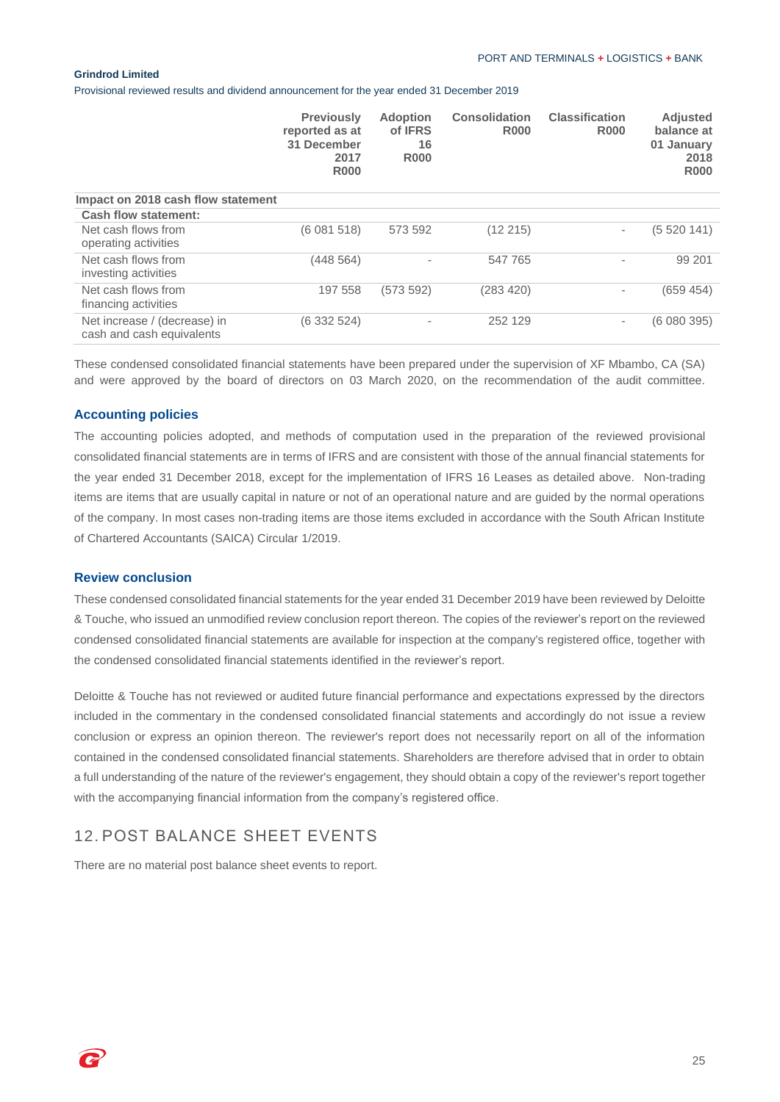Provisional reviewed results and dividend announcement for the year ended 31 December 2019

|                                                           | <b>Previously</b><br>reported as at<br>31 December<br>2017<br><b>R000</b> | <b>Adoption</b><br>of IFRS<br>16<br><b>R000</b> | <b>Consolidation</b><br><b>R000</b> | <b>Classification</b><br><b>R000</b> | <b>Adjusted</b><br>balance at<br>01 January<br>2018<br><b>R000</b> |
|-----------------------------------------------------------|---------------------------------------------------------------------------|-------------------------------------------------|-------------------------------------|--------------------------------------|--------------------------------------------------------------------|
| Impact on 2018 cash flow statement                        |                                                                           |                                                 |                                     |                                      |                                                                    |
| <b>Cash flow statement:</b>                               |                                                                           |                                                 |                                     |                                      |                                                                    |
| Net cash flows from<br>operating activities               | (6081518)                                                                 | 573 592                                         | (12 215)                            | $\overline{\phantom{a}}$             | (5 520 141)                                                        |
| Net cash flows from<br>investing activities               | (448 564)                                                                 | $\overline{\phantom{a}}$                        | 547 765                             |                                      | 99 201                                                             |
| Net cash flows from<br>financing activities               | 197 558                                                                   | (573592)                                        | (283 420)                           | ٠                                    | (659 454)                                                          |
| Net increase / (decrease) in<br>cash and cash equivalents | (6 332 524)                                                               | ۰                                               | 252 129                             | $\overline{\phantom{a}}$             | (6 080 395)                                                        |

These condensed consolidated financial statements have been prepared under the supervision of XF Mbambo, CA (SA) and were approved by the board of directors on 03 March 2020, on the recommendation of the audit committee.

### **Accounting policies**

The accounting policies adopted, and methods of computation used in the preparation of the reviewed provisional consolidated financial statements are in terms of IFRS and are consistent with those of the annual financial statements for the year ended 31 December 2018, except for the implementation of IFRS 16 Leases as detailed above. Non-trading items are items that are usually capital in nature or not of an operational nature and are guided by the normal operations of the company. In most cases non-trading items are those items excluded in accordance with the South African Institute of Chartered Accountants (SAICA) Circular 1/2019.

#### **Review conclusion**

These condensed consolidated financial statements for the year ended 31 December 2019 have been reviewed by Deloitte & Touche, who issued an unmodified review conclusion report thereon. The copies of the reviewer's report on the reviewed condensed consolidated financial statements are available for inspection at the company's registered office, together with the condensed consolidated financial statements identified in the reviewer's report.

Deloitte & Touche has not reviewed or audited future financial performance and expectations expressed by the directors included in the commentary in the condensed consolidated financial statements and accordingly do not issue a review conclusion or express an opinion thereon. The reviewer's report does not necessarily report on all of the information contained in the condensed consolidated financial statements. Shareholders are therefore advised that in order to obtain a full understanding of the nature of the reviewer's engagement, they should obtain a copy of the reviewer's report together with the accompanying financial information from the company's registered office.

# 12. POST BALANCE SHEET EVENTS

There are no material post balance sheet events to report.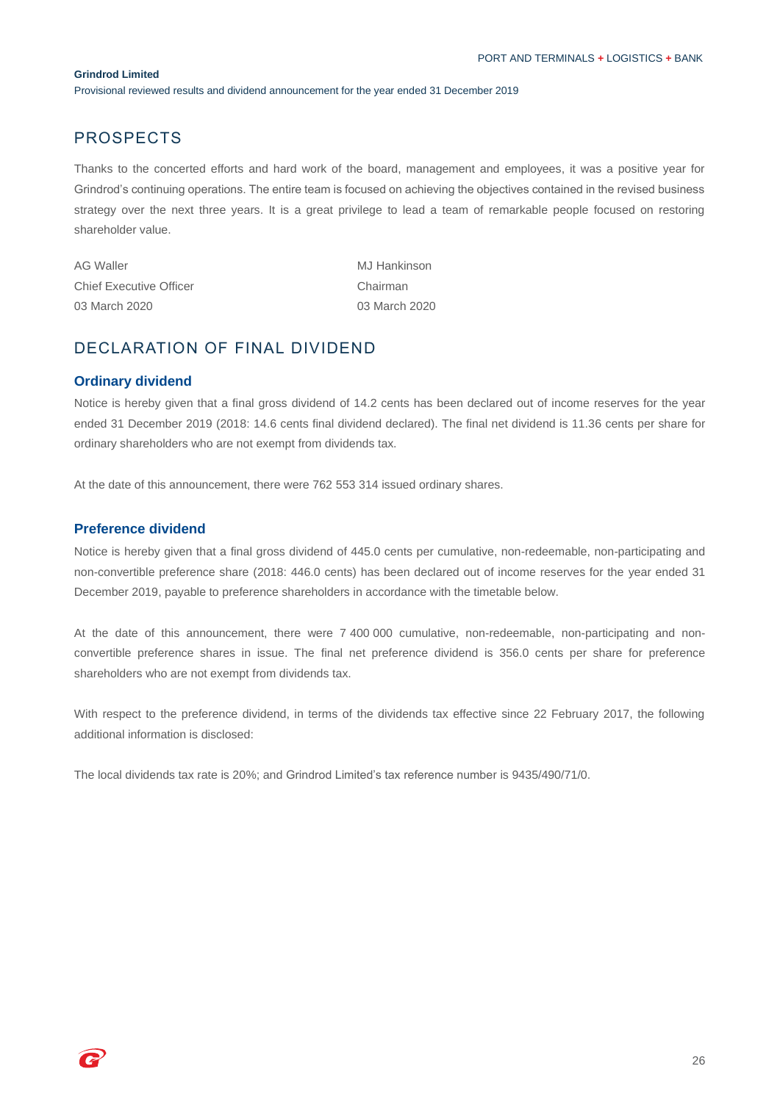Provisional reviewed results and dividend announcement for the year ended 31 December 2019

# PROSPECTS

Thanks to the concerted efforts and hard work of the board, management and employees, it was a positive year for Grindrod's continuing operations. The entire team is focused on achieving the objectives contained in the revised business strategy over the next three years. It is a great privilege to lead a team of remarkable people focused on restoring shareholder value.

| AG Waller                      | MJ Hankinson  |
|--------------------------------|---------------|
| <b>Chief Executive Officer</b> | Chairman      |
| 03 March 2020                  | 03 March 2020 |

# DECLARATION OF FINAL DIVIDEND

### **Ordinary dividend**

Notice is hereby given that a final gross dividend of 14.2 cents has been declared out of income reserves for the year ended 31 December 2019 (2018: 14.6 cents final dividend declared). The final net dividend is 11.36 cents per share for ordinary shareholders who are not exempt from dividends tax.

At the date of this announcement, there were 762 553 314 issued ordinary shares.

### **Preference dividend**

Notice is hereby given that a final gross dividend of 445.0 cents per cumulative, non-redeemable, non-participating and non-convertible preference share (2018: 446.0 cents) has been declared out of income reserves for the year ended 31 December 2019, payable to preference shareholders in accordance with the timetable below.

At the date of this announcement, there were 7 400 000 cumulative, non-redeemable, non-participating and nonconvertible preference shares in issue. The final net preference dividend is 356.0 cents per share for preference shareholders who are not exempt from dividends tax.

With respect to the preference dividend, in terms of the dividends tax effective since 22 February 2017, the following additional information is disclosed:

The local dividends tax rate is 20%; and Grindrod Limited's tax reference number is 9435/490/71/0.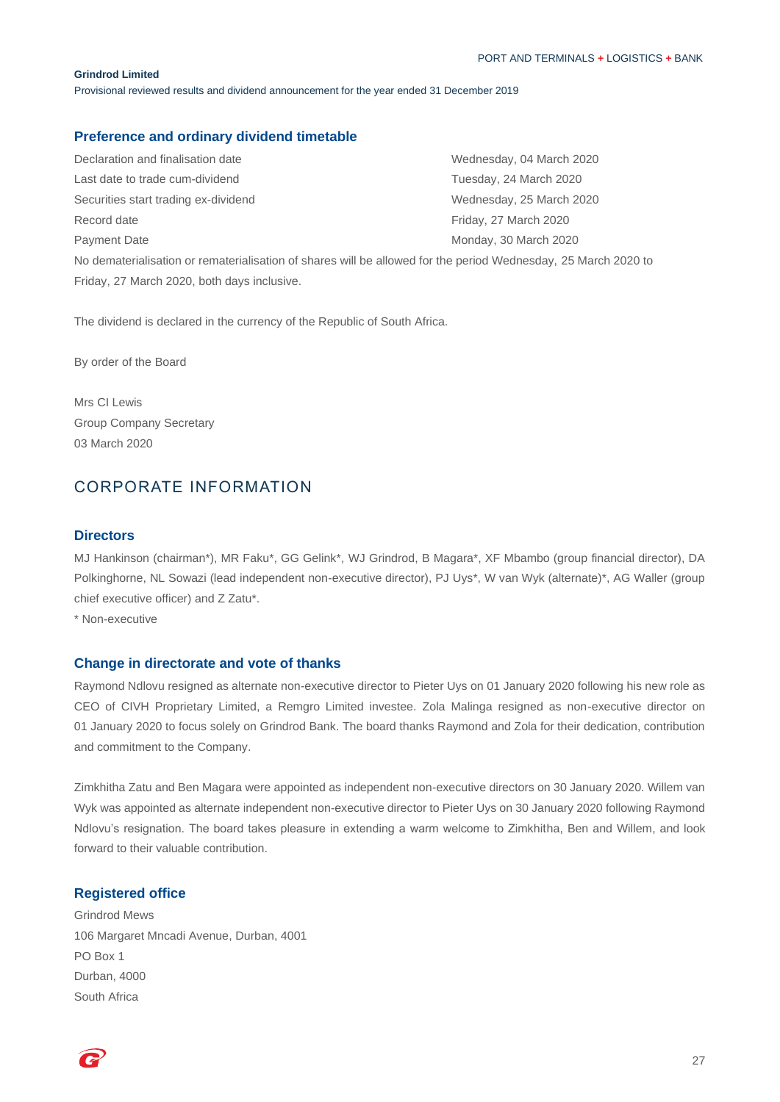Provisional reviewed results and dividend announcement for the year ended 31 December 2019

## **Preference and ordinary dividend timetable**

Declaration and finalisation date Wednesday, 04 March 2020 Last date to trade cum-dividend **Tuesday, 24 March 2020** Securities start trading ex-dividend Wednesday, 25 March 2020 Record date **Friday, 27 March 2020** Payment Date **Monday, 30 March 2020** No dematerialisation or rematerialisation of shares will be allowed for the period Wednesday, 25 March 2020 to Friday, 27 March 2020, both days inclusive.

The dividend is declared in the currency of the Republic of South Africa.

By order of the Board

Mrs CI Lewis Group Company Secretary 03 March 2020

# CORPORATE INFORMATION

### **Directors**

MJ Hankinson (chairman\*), MR Faku\*, GG Gelink\*, WJ Grindrod, B Magara\*, XF Mbambo (group financial director), DA Polkinghorne, NL Sowazi (lead independent non-executive director), PJ Uys\*, W van Wyk (alternate)\*, AG Waller (group chief executive officer) and Z Zatu\*.

\* Non-executive

### **Change in directorate and vote of thanks**

Raymond Ndlovu resigned as alternate non-executive director to Pieter Uys on 01 January 2020 following his new role as CEO of CIVH Proprietary Limited, a Remgro Limited investee. Zola Malinga resigned as non-executive director on 01 January 2020 to focus solely on Grindrod Bank. The board thanks Raymond and Zola for their dedication, contribution and commitment to the Company.

Zimkhitha Zatu and Ben Magara were appointed as independent non-executive directors on 30 January 2020. Willem van Wyk was appointed as alternate independent non-executive director to Pieter Uys on 30 January 2020 following Raymond Ndlovu's resignation. The board takes pleasure in extending a warm welcome to Zimkhitha, Ben and Willem, and look forward to their valuable contribution.

## **Registered office**

Grindrod Mews 106 Margaret Mncadi Avenue, Durban, 4001 PO Box 1 Durban, 4000 South Africa